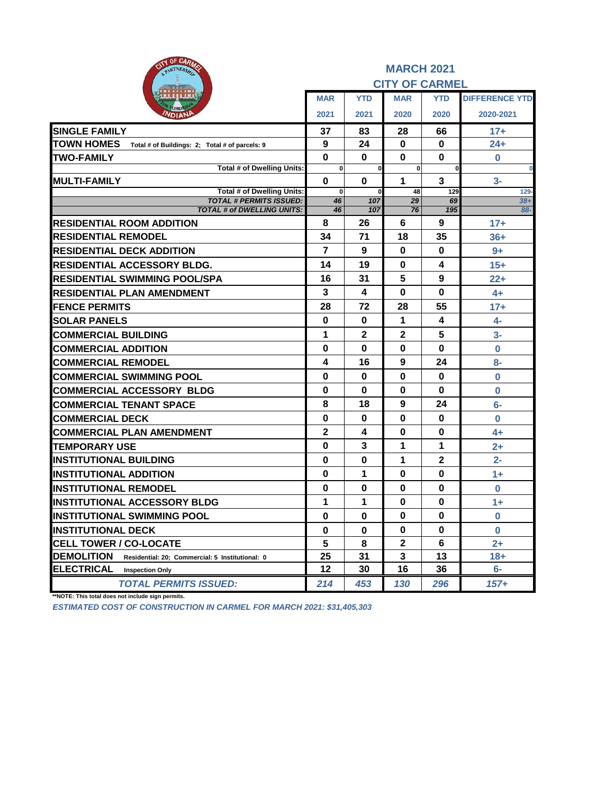| OF CARLO<br>eity<br>PARTNERSHIP                                      |                         |              | <b>MARCH 2021</b>     |              |                       |
|----------------------------------------------------------------------|-------------------------|--------------|-----------------------|--------------|-----------------------|
|                                                                      |                         |              | <b>CITY OF CARMEL</b> |              |                       |
|                                                                      | <b>MAR</b>              | <b>YTD</b>   | <b>MAR</b>            | <b>YTD</b>   | <b>DIFFERENCE YTD</b> |
| VDIAN                                                                | 2021                    | 2021         | 2020                  | 2020         | 2020-2021             |
| <b>SINGLE FAMILY</b>                                                 | 37                      | 83           | 28                    | 66           | $17+$                 |
| <b>TOWN HOMES</b><br>Total # of Buildings: 2; Total # of parcels: 9  | 9                       | 24           | 0                     | 0            | $24+$                 |
| <b>TWO-FAMILY</b>                                                    | $\mathbf 0$             | 0            | 0                     | $\bf{0}$     | $\bf{0}$              |
| <b>Total # of Dwelling Units:</b>                                    | $\bf{0}$                | <sub>0</sub> | $\mathbf{0}$          | 0            | 0                     |
| <b>IMULTI-FAMILY</b><br><b>Total # of Dwelling Units:</b>            | $\mathbf 0$             | 0            | 1<br>48               | 3<br>129     | $3-$                  |
| <b>TOTAL # PERMITS ISSUED:</b>                                       | 0<br>46                 | 107          | 29                    | 69           | $129 -$<br>$38+$      |
| <b>TOTAL # of DWELLING UNITS:</b>                                    | 46                      | 107          | 76                    | 195          | 88-                   |
| <b>RESIDENTIAL ROOM ADDITION</b>                                     | 8                       | 26           | 6                     | 9            | $17+$                 |
| <b>RESIDENTIAL REMODEL</b>                                           | 34                      | 71           | 18                    | 35           | $36+$                 |
| <b>RESIDENTIAL DECK ADDITION</b>                                     | $\overline{7}$          | 9            | 0                     | 0            | $9+$                  |
| <b>RESIDENTIAL ACCESSORY BLDG.</b>                                   | 14                      | 19           | 0                     | 4            | $15+$                 |
| <b>RESIDENTIAL SWIMMING POOL/SPA</b>                                 | 16                      | 31           | 5                     | 9            | $22 +$                |
| <b>RESIDENTIAL PLAN AMENDMENT</b>                                    | 3                       | 4            | $\bf{0}$              | $\bf{0}$     | $4+$                  |
| <b>FENCE PERMITS</b>                                                 | 28                      | 72           | 28                    | 55           | $17+$                 |
| <b>SOLAR PANELS</b>                                                  | 0                       | 0            | 1                     | 4            | 4-                    |
| <b>COMMERCIAL BUILDING</b>                                           | 1                       | $\mathbf{2}$ | $\mathbf{2}$          | 5            | $3-$                  |
| <b>COMMERCIAL ADDITION</b>                                           | $\bf{0}$                | $\bf{0}$     | $\bf{0}$              | $\bf{0}$     | $\mathbf 0$           |
| <b>COMMERCIAL REMODEL</b>                                            | 4                       | 16           | 9                     | 24           | 8-                    |
| <b>COMMERCIAL SWIMMING POOL</b>                                      | $\bf{0}$                | $\bf{0}$     | $\bf{0}$              | $\bf{0}$     | $\bf{0}$              |
| <b>COMMERCIAL ACCESSORY BLDG</b>                                     | $\bf{0}$                | $\bf{0}$     | $\bf{0}$              | $\bf{0}$     | $\bf{0}$              |
| <b>COMMERCIAL TENANT SPACE</b>                                       | 8                       | 18           | 9                     | 24           | $6-$                  |
| <b>COMMERCIAL DECK</b>                                               | 0                       | 0            | 0                     | 0            | 0                     |
| <b>COMMERCIAL PLAN AMENDMENT</b>                                     | $\overline{\mathbf{2}}$ | 4            | $\bf{0}$              | $\bf{0}$     | $4+$                  |
| <b>TEMPORARY USE</b>                                                 | 0                       | 3            | 1                     | 1            | $2+$                  |
| <b>INSTITUTIONAL BUILDING</b>                                        | $\bf{0}$                | $\bf{0}$     | 1                     | $\mathbf{2}$ | $2 -$                 |
| <b>INSTITUTIONAL ADDITION</b>                                        | $\bf{0}$                | 1            | 0                     | $\bf{0}$     | $1+$                  |
| <b>INSTITUTIONAL REMODEL</b>                                         | 0                       | 0            | 0                     | 0            | $\bf{0}$              |
| <b>INSTITUTIONAL ACCESSORY BLDG</b>                                  | 1                       | 1            | $\bf{0}$              | $\mathbf 0$  | $1+$                  |
| <b>INSTITUTIONAL SWIMMING POOL</b>                                   | $\mathbf 0$             | $\bf{0}$     | 0                     | 0            | 0                     |
| <b>INSTITUTIONAL DECK</b>                                            | 0                       | 0            | 0                     | 0            | $\bf{0}$              |
| <b>CELL TOWER / CO-LOCATE</b>                                        | 5                       | 8            | $\mathbf 2$           | 6            | $2+$                  |
| <b>DEMOLITION</b><br>Residential: 20; Commercial: 5 Institutional: 0 | 25                      | 31           | 3                     | 13           | $18 +$                |
| <b>ELECTRICAL</b><br><b>Inspection Only</b>                          | 12                      | 30           | 16                    | 36           | $6-$                  |
| <b>TOTAL PERMITS ISSUED:</b>                                         | 214                     | 453          | 130                   | 296          | 157+                  |

**\*\*NOTE: This total does not include sign permits.**

*ESTIMATED COST OF CONSTRUCTION IN CARMEL FOR MARCH 2021: \$31,405,303*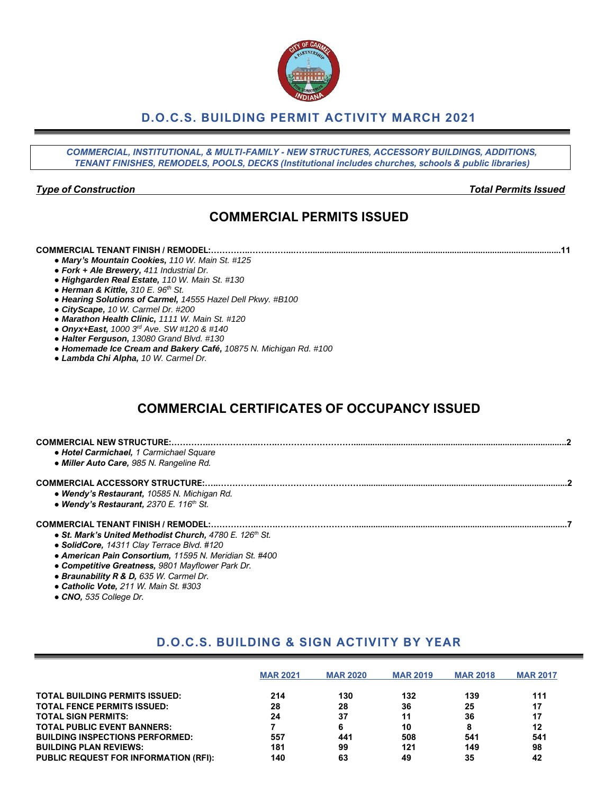## **D.O.C.S. BUILDING PERMIT ACTIVITY MARCH 2021**

*COMMERCIAL, INSTITUTIONAL, & MULTI-FAMILY - NEW STRUCTURES, ACCESSORY BUILDINGS, ADDITIONS, TENANT FINISHES, REMODELS, POOLS, DECKS (Institutional includes churches, schools & public libraries)*

#### *Type of Construction Total Permits Issued*

# **COMMERCIAL PERMITS ISSUED**

**COMMERCIAL TENANT FINISH / REMODEL:…………..…….……...……..........................................................................................................11**

- *● Mary's Mountain Cookies, 110 W. Main St. #125*
- *● Fork + Ale Brewery, 411 Industrial Dr.*
- *● Highgarden Real Estate, 110 W. Main St. #130*
- *● Herman & Kittle, 310 E. 96th St.*
- *● Hearing Solutions of Carmel, 14555 Hazel Dell Pkwy. #B100*
- *● CityScape, 10 W. Carmel Dr. #200*
- *● Marathon Health Clinic, 1111 W. Main St. #120*
- *● Onyx+East, 1000 3rd Ave. SW #120 & #140*
- *● Halter Ferguson, 13080 Grand Blvd. #130*
- *● Homemade Ice Cream and Bakery Café, 10875 N. Michigan Rd. #100*
- *● Lambda Chi Alpha, 10 W. Carmel Dr.*

# **COMMERCIAL CERTIFICATES OF OCCUPANCY ISSUED**

| • Hotel Carmichael, 1 Carmichael Square<br>• Miller Auto Care, 985 N. Rangeline Rd.                   |  |
|-------------------------------------------------------------------------------------------------------|--|
| • Wendy's Restaurant, 10585 N. Michigan Rd.<br>• Wendy's Restaurant, 2370 E. 116th St.                |  |
| • St. Mark's United Methodist Church, 4780 E. 126th St.<br>• SolidCore, 14311 Clay Terrace Blvd. #120 |  |

- 
- *● American Pain Consortium, 11595 N. Meridian St. #400*
- *● Competitive Greatness, 9801 Mayflower Park Dr.*
- *● Braunability R & D, 635 W. Carmel Dr.*
- *● Catholic Vote, 211 W. Main St. #303*
- *● CNO, 535 College Dr.*

# **D.O.C.S. BUILDING & SIGN ACTIVITY BY YEAR**

|                                              | <b>MAR 2021</b> | <b>MAR 2020</b> | <b>MAR 2019</b> | <b>MAR 2018</b> | <b>MAR 2017</b> |
|----------------------------------------------|-----------------|-----------------|-----------------|-----------------|-----------------|
| <b>TOTAL BUILDING PERMITS ISSUED:</b>        | 214             | 130             | 132             | 139             | 111             |
| <b>TOTAL FENCE PERMITS ISSUED:</b>           | 28              | 28              | 36              | 25              | 17              |
| <b>TOTAL SIGN PERMITS:</b>                   | 24              | 37              | 11              | 36              | 17              |
| <b>TOTAL PUBLIC EVENT BANNERS:</b>           |                 | 6               | 10              |                 | 12              |
| <b>BUILDING INSPECTIONS PERFORMED:</b>       | 557             | 441             | 508             | 541             | 541             |
| <b>BUILDING PLAN REVIEWS:</b>                | 181             | 99              | 121             | 149             | 98              |
| <b>PUBLIC REQUEST FOR INFORMATION (RFI):</b> | 140             | 63              | 49              | 35              | 42              |

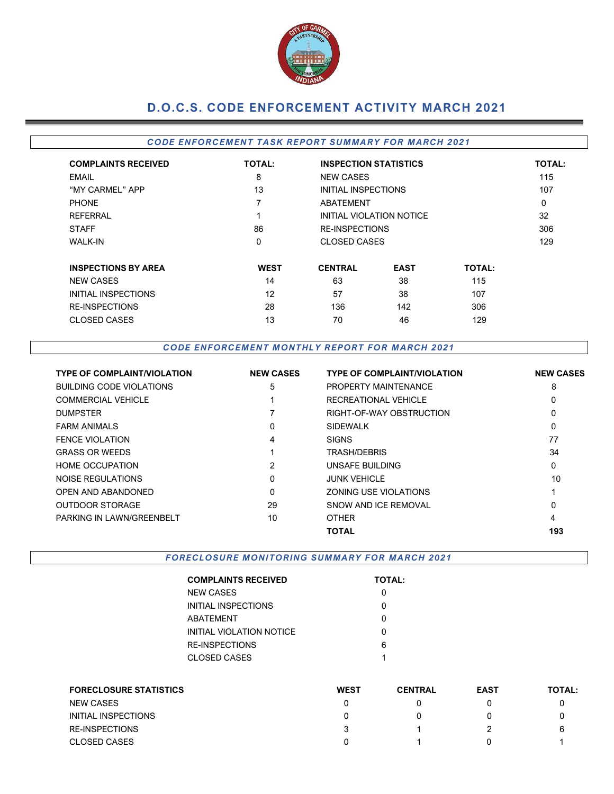

# **D.O.C.S. CODE ENFORCEMENT ACTIVITY MARCH 2021**

### *CODE EN FORCEMEN T TA SK REPOR T SUMMARY FOR MARCH 2021*

| <b>COMPLAINTS RECEIVED</b> | <b>TOTAL:</b> | <b>INSPECTION STATISTICS</b> |                          |               | <b>TOTAL:</b> |
|----------------------------|---------------|------------------------------|--------------------------|---------------|---------------|
| <b>EMAIL</b>               | 8             | <b>NEW CASES</b>             |                          |               | 115           |
| "MY CARMEL" APP            | 13            | INITIAL INSPECTIONS          |                          |               | 107           |
| <b>PHONE</b>               | 7             | ABATEMENT                    |                          |               | $\Omega$      |
| <b>REFERRAL</b>            |               |                              | INITIAL VIOLATION NOTICE |               | 32            |
| <b>STAFF</b>               | 86            | <b>RE-INSPECTIONS</b>        |                          |               | 306           |
| <b>WALK-IN</b>             | $\Omega$      | <b>CLOSED CASES</b>          | 129                      |               |               |
| <b>INSPECTIONS BY AREA</b> | <b>WEST</b>   | <b>CENTRAL</b>               | <b>EAST</b>              | <b>TOTAL:</b> |               |
| <b>NEW CASES</b>           | 14            | 63                           | 38                       | 115           |               |
| INITIAL INSPECTIONS        | 12            | 57                           | 38                       | 107           |               |
| <b>RE-INSPECTIONS</b>      | 28            | 136                          | 142                      | 306           |               |
| <b>CLOSED CASES</b>        | 13            | 70                           | 46                       | 129           |               |

*CODE EN FORCEM EN T M ONTHLY R EPORT FOR M ARCH 2021*

| <b>TYPE OF COMPLAINT/VIOLATION</b> | <b>NEW CASES</b> | <b>TYPE OF COMPLAINT/VIOLATION</b> | <b>NEW CASES</b> |
|------------------------------------|------------------|------------------------------------|------------------|
| <b>BUILDING CODE VIOLATIONS</b>    | 5                | PROPERTY MAINTENANCE               | 8                |
| <b>COMMERCIAL VEHICLE</b>          |                  | RECREATIONAL VEHICLE               | 0                |
| <b>DUMPSTER</b>                    |                  | RIGHT-OF-WAY OBSTRUCTION           | 0                |
| <b>FARM ANIMALS</b>                | $\Omega$         | <b>SIDEWALK</b>                    | 0                |
| <b>FENCE VIOLATION</b>             | 4                | <b>SIGNS</b>                       | 77               |
| <b>GRASS OR WEEDS</b>              |                  | <b>TRASH/DEBRIS</b>                | 34               |
| <b>HOME OCCUPATION</b>             | 2                | UNSAFE BUILDING                    | 0                |
| NOISE REGULATIONS                  | $\Omega$         | <b>JUNK VEHICLE</b>                | 10               |
| <b>OPEN AND ABANDONED</b>          | $\Omega$         | ZONING USE VIOLATIONS              |                  |
| <b>OUTDOOR STORAGE</b>             | 29               | SNOW AND ICF REMOVAL               | 0                |
| PARKING IN LAWN/GREENBELT          | 10               | <b>OTHER</b>                       | 4                |
|                                    |                  | <b>TOTAL</b>                       | 193              |

**FORECLOSURE MONITORING SUMMARY FOR MARCH 2021** 

| <b>COMPLAINTS RECEIVED</b> | <b>TOTAL:</b> |
|----------------------------|---------------|
| NEW CASES                  |               |
| INITIAL INSPECTIONS        |               |
| ABATFMFNT                  | ი             |
| INITIAL VIOLATION NOTICE   | ი             |
| RE-INSPECTIONS             | 6             |
| CLOSED CASES               | 1             |
|                            |               |

| <b>FORECLOSURE STATISTICS</b> | <b>WEST</b> | <b>CENTRAL</b> | <b>EAST</b> | <b>TOTAL:</b> |
|-------------------------------|-------------|----------------|-------------|---------------|
| <b>NEW CASES</b>              |             |                |             |               |
| INITIAL INSPECTIONS           |             |                |             |               |
| RE-INSPECTIONS                |             |                |             | 6             |
| <b>CLOSED CASES</b>           |             |                |             |               |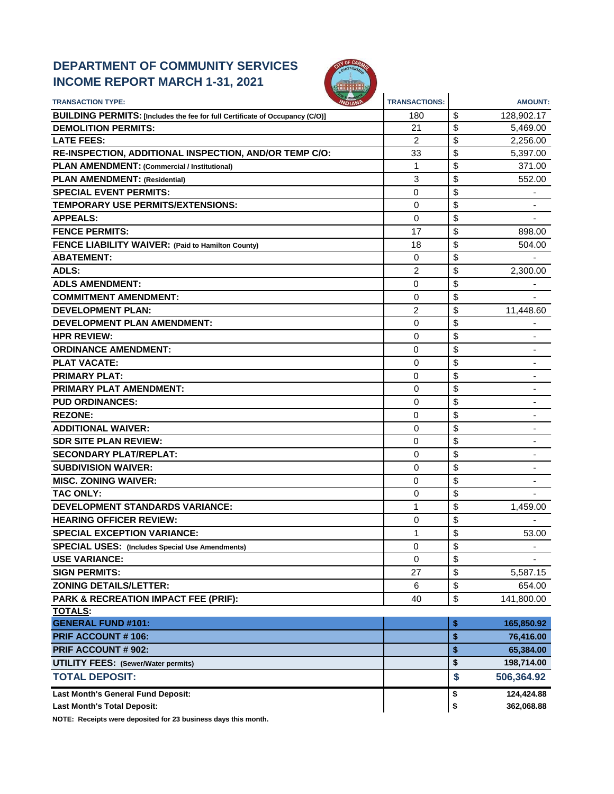## **DEPARTMENT OF COMMUNITY SERVICES INCOME REPORT MARCH 1-31, 2021**



| <b>TRANSACTION TYPE:</b>                                                     | <b>TRANSACTIONS:</b> | <b>AMOUNT:</b>                 |
|------------------------------------------------------------------------------|----------------------|--------------------------------|
| BUILDING PERMITS: [Includes the fee for full Certificate of Occupancy (C/O)] | 180                  | \$<br>128,902.17               |
| <b>DEMOLITION PERMITS:</b>                                                   | 21                   | \$<br>5.469.00                 |
| <b>LATE FEES:</b>                                                            | 2                    | \$<br>2,256.00                 |
| RE-INSPECTION, ADDITIONAL INSPECTION, AND/OR TEMP C/O:                       | 33                   | \$<br>5,397.00                 |
| PLAN AMENDMENT: (Commercial / Institutional)                                 | $\mathbf{1}$         | \$<br>371.00                   |
| <b>PLAN AMENDMENT: (Residential)</b>                                         | 3                    | \$<br>552.00                   |
| <b>SPECIAL EVENT PERMITS:</b>                                                | 0                    | \$                             |
| <b>TEMPORARY USE PERMITS/EXTENSIONS:</b>                                     | 0                    | \$                             |
| <b>APPEALS:</b>                                                              | 0                    | \$                             |
| <b>FENCE PERMITS:</b>                                                        | 17                   | \$<br>898.00                   |
| FENCE LIABILITY WAIVER: (Paid to Hamilton County)                            | 18                   | \$<br>504.00                   |
| <b>ABATEMENT:</b>                                                            | 0                    | \$                             |
| <b>ADLS:</b>                                                                 | 2                    | \$<br>2,300.00                 |
| <b>ADLS AMENDMENT:</b>                                                       | 0                    | \$                             |
| <b>COMMITMENT AMENDMENT:</b>                                                 | 0                    | \$                             |
| <b>DEVELOPMENT PLAN:</b>                                                     | 2                    | \$<br>11,448.60                |
| <b>DEVELOPMENT PLAN AMENDMENT:</b>                                           | 0                    | \$                             |
| <b>HPR REVIEW:</b>                                                           | 0                    | \$                             |
| <b>ORDINANCE AMENDMENT:</b>                                                  | 0                    | \$                             |
| <b>PLAT VACATE:</b>                                                          | 0                    | \$                             |
| <b>PRIMARY PLAT:</b>                                                         | 0                    | \$                             |
| <b>PRIMARY PLAT AMENDMENT:</b>                                               | 0                    | \$                             |
| <b>PUD ORDINANCES:</b>                                                       | 0                    | \$                             |
| <b>REZONE:</b>                                                               | 0                    | \$                             |
| <b>ADDITIONAL WAIVER:</b>                                                    | 0                    | \$                             |
| <b>SDR SITE PLAN REVIEW:</b>                                                 | 0                    | \$<br>$\overline{\phantom{a}}$ |
| <b>SECONDARY PLAT/REPLAT:</b>                                                | 0                    | \$                             |
| <b>SUBDIVISION WAIVER:</b>                                                   | 0                    | \$                             |
| <b>MISC. ZONING WAIVER:</b>                                                  | 0                    | \$                             |
| <b>TAC ONLY:</b>                                                             | 0                    | \$                             |
| <b>DEVELOPMENT STANDARDS VARIANCE:</b>                                       | 1                    | \$<br>1,459.00                 |
| <b>HEARING OFFICER REVIEW:</b>                                               | 0                    | \$                             |
| <b>SPECIAL EXCEPTION VARIANCE:</b>                                           | 1                    | \$<br>53.00                    |
| <b>SPECIAL USES:</b> (Includes Special Use Amendments)                       | 0                    | \$                             |
| <b>USE VARIANCE:</b>                                                         | $\Omega$             | \$                             |
| <b>SIGN PERMITS:</b>                                                         | 27                   | \$<br>5,587.15                 |
| <b>ZONING DETAILS/LETTER:</b>                                                | 6                    | \$<br>654.00                   |
| PARK & RECREATION IMPACT FEE (PRIF):                                         | 40                   | \$<br>141,800.00               |
| <b>TOTALS:</b>                                                               |                      |                                |
| <b>GENERAL FUND #101:</b>                                                    |                      | \$<br>165,850.92               |
| <b>PRIF ACCOUNT #106:</b>                                                    |                      | \$<br>76,416.00                |
| <b>PRIF ACCOUNT # 902:</b>                                                   |                      | \$<br>65,384.00                |
| <b>UTILITY FEES: (Sewer/Water permits)</b>                                   |                      | \$<br>198,714.00               |
| <b>TOTAL DEPOSIT:</b>                                                        |                      | \$<br>506,364.92               |
| Last Month's General Fund Deposit:                                           |                      | \$<br>124,424.88               |
| <b>Last Month's Total Deposit:</b>                                           |                      | 362,068.88<br>\$               |

**NOTE: Receipts were deposited for 23 business days this month.**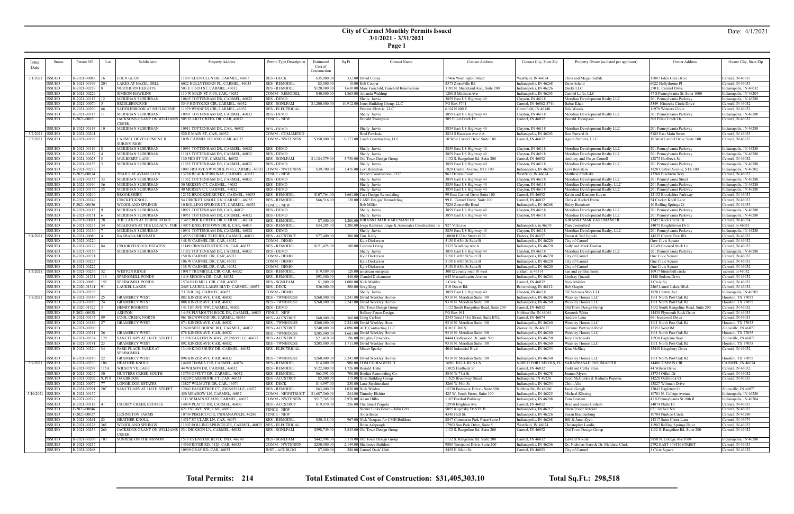**Page 1**

| Permit NO<br>Status<br>Lot<br>Issue<br>Date<br>3/1/2021   ISSUED<br>EDEN GLEN<br>B-2021-00088<br><b>ISSUED</b><br>B-2021-00199<br>204<br><b>ISSUED</b><br>B-2021-00219<br><b>ISSUED</b><br>B-2021-00229<br>SIMEON HAWKINS<br><b>ISSUED</b><br>$B-2021-00112$   12<br><b>MERIDIAN SUBURBAN</b><br><b>ISSUED</b><br>B-2021-00070<br>BRIDLEBOURNE<br><b>ISSUED</b><br>B-2021-00290<br>SADDLEBROOK AT SHELBORNE<br><b>ISSUED</b><br>B-2021-00113<br>MERIDIAN SUBURBAN<br><b>ISSUED</b><br>F-2021-00021<br><b>CREEK</b><br><b>ISSUED</b><br>B-2021-00114   1<br>3/2/2021   ISSUED<br>B-2021-00241<br>3/3/2021   ISSUED<br>B-2021-00192<br>CARMEL DEVELOPMENT II<br>SUBDIVISION<br>B-2021-00116<br>MERIDIAN SUBURBAN<br><b>ISSUED</b><br><b>ISSUED</b><br>B-2021-00152<br><b>ISSUED</b><br>B-2021-00023<br>MULBERRY LANE<br><b>ISSUED</b><br>B-2021-00153<br><b>ISSUED</b><br>B-2021-00239<br><b>ISSUED</b><br>F-2021-00034<br><b>ISSUED</b><br>$B-2021-00155$   33<br>MERIDIAN SUBURBAN<br><b>ISSUED</b><br>B-2021-00194<br>MERIDIAN SUBURBAN<br><b>ISSUED</b><br>B-2021-00176 35<br>MERIDIAN SUBURBAN<br><b>ISSUED</b><br>B-2021-00240<br>BROOKSHIRE<br><b>ISSUED</b><br>B-2021-00249<br>CRICKET KNOLL<br><b>ISSUED</b><br>F-2021-00036<br><b>ISSUED</b><br>B-2021-00115<br><b>ISSUED</b><br>B-2021-00151<br><b>ISSUED</b><br>$B-2021-00011$ 28<br><b>ISSUED</b><br>B-2021-00233 34<br><b>ISSUED</b><br>B-2021-00150<br>MERIDIAN SUBURBAN<br>B-2021-00080<br>BARBARA MCGRATH<br>3/4/2021   ISSUED<br>B-2021-00220<br><b>ISSUED</b><br><b>ISSUED</b><br>$B-2021-00127$   84<br><b>ISSUED</b><br>B-2021-00156<br><b>ISSUED</b><br>B-2021-00221<br><b>ISSUED</b><br>B-2021-00223<br>B-2021-00222<br><b>ISSUED</b><br>3/5/2021   ISSUED<br>$B-2021-00236$   52<br><b>WESTON RIDGE</b><br><b>ISSUED</b><br>B-2020-01231   119<br>SPRINGMILL PONDS<br>B-2021-00050<br><b>ISSUED</b><br>SPRINGMILL PONDS<br><b>ISSUED</b><br>B-2020-01341<br><b>LAUREL LAKES</b><br><b>ISSUED</b><br>B-2021-00278<br>3/8/2021   ISSUED<br>B-2021-00184<br>GRAMERCY WEST<br><b>ISSUED</b><br>$B-2021-00183$ 24<br><b>GRAMERCY WEST</b><br><b>ISSUED</b><br>B-2020-01322<br>HENRY ROBERTS<br><b>ISSUED</b><br>F-2021-00038<br>ASHTON<br><b>ISSUED</b><br>B-2021-00145   89<br>COOL CREEK NORTH<br><b>ISSUED</b><br>B-2021-00186<br><b>GRAMERCY WEST</b><br><b>ISSUED</b><br>B-2021-00200<br><b>ISSUED</b><br>B-2021-00211 26<br><b>GRAMERCY WEST</b><br><b>ISSUED</b><br>B-2021-00234   129<br><b>ISSUED</b><br>$B-2021-00181$ 23<br><b>GRAMERCY WEST</b><br><b>ISSUED</b><br>$B-2021-00320$ 34<br>SPRINGMILL<br>$B-2021-00180$ 22<br><b>GRAMERCY WEST</b><br><b>ISSUED</b><br>$B-2021-00230$   104<br>HEATHER KNOLL<br>3/9/2021   ISSUED<br>ISSUED<br>B-2021-00298 115A<br><b>WILSON VILLAGE</b> |              |     | Subdivision<br>LAKES AT HAZEL DELL<br>NORTHERN HEIGHTS | Property Address<br>1807 EDEN GLEN DR, CARMEL, 46033                     | Permit Type Description<br>RES - DECK           | Estimated<br>Cost of<br>Construction | Sq Ft | <b>Contact Name</b>                                          | <b>Contact Address</b>                                          | Contact City, State Zip                       | Property Owner (as listed per applicant)                            | Owner Address                                        | Owner City, State Zip                            |
|----------------------------------------------------------------------------------------------------------------------------------------------------------------------------------------------------------------------------------------------------------------------------------------------------------------------------------------------------------------------------------------------------------------------------------------------------------------------------------------------------------------------------------------------------------------------------------------------------------------------------------------------------------------------------------------------------------------------------------------------------------------------------------------------------------------------------------------------------------------------------------------------------------------------------------------------------------------------------------------------------------------------------------------------------------------------------------------------------------------------------------------------------------------------------------------------------------------------------------------------------------------------------------------------------------------------------------------------------------------------------------------------------------------------------------------------------------------------------------------------------------------------------------------------------------------------------------------------------------------------------------------------------------------------------------------------------------------------------------------------------------------------------------------------------------------------------------------------------------------------------------------------------------------------------------------------------------------------------------------------------------------------------------------------------------------------------------------------------------------------------------------------------------------------------------------------------------------------------------------------------------------------------------------------------------------------------------------------------------------------------------------------------------------------------------------------------------------------------------------------------------------------------------------------------------------------------------------------------------------------------------------------------------------------------------------------------------------------------------------------------------------------|--------------|-----|--------------------------------------------------------|--------------------------------------------------------------------------|-------------------------------------------------|--------------------------------------|-------|--------------------------------------------------------------|-----------------------------------------------------------------|-----------------------------------------------|---------------------------------------------------------------------|------------------------------------------------------|--------------------------------------------------|
|                                                                                                                                                                                                                                                                                                                                                                                                                                                                                                                                                                                                                                                                                                                                                                                                                                                                                                                                                                                                                                                                                                                                                                                                                                                                                                                                                                                                                                                                                                                                                                                                                                                                                                                                                                                                                                                                                                                                                                                                                                                                                                                                                                                                                                                                                                                                                                                                                                                                                                                                                                                                                                                                                                                                                                      |              |     |                                                        |                                                                          |                                                 |                                      |       |                                                              |                                                                 |                                               |                                                                     |                                                      |                                                  |
|                                                                                                                                                                                                                                                                                                                                                                                                                                                                                                                                                                                                                                                                                                                                                                                                                                                                                                                                                                                                                                                                                                                                                                                                                                                                                                                                                                                                                                                                                                                                                                                                                                                                                                                                                                                                                                                                                                                                                                                                                                                                                                                                                                                                                                                                                                                                                                                                                                                                                                                                                                                                                                                                                                                                                                      |              |     |                                                        |                                                                          |                                                 |                                      |       |                                                              |                                                                 |                                               |                                                                     |                                                      |                                                  |
|                                                                                                                                                                                                                                                                                                                                                                                                                                                                                                                                                                                                                                                                                                                                                                                                                                                                                                                                                                                                                                                                                                                                                                                                                                                                                                                                                                                                                                                                                                                                                                                                                                                                                                                                                                                                                                                                                                                                                                                                                                                                                                                                                                                                                                                                                                                                                                                                                                                                                                                                                                                                                                                                                                                                                                      |              |     |                                                        |                                                                          |                                                 | \$35,000.00                          |       | 332.00 David Coppa                                           | 17466 Washington Street                                         | Westfield, IN 46074                           | Chris and Megan Suttile                                             | 11807 Eden Glen Drive                                | Carmel, IN 46033                                 |
|                                                                                                                                                                                                                                                                                                                                                                                                                                                                                                                                                                                                                                                                                                                                                                                                                                                                                                                                                                                                                                                                                                                                                                                                                                                                                                                                                                                                                                                                                                                                                                                                                                                                                                                                                                                                                                                                                                                                                                                                                                                                                                                                                                                                                                                                                                                                                                                                                                                                                                                                                                                                                                                                                                                                                                      |              |     |                                                        | 6022 HOLLYTHORN PL, CARMEL, 46033                                        | <b>RES - REMODEL</b>                            | \$5,000.00                           |       | 18.00 Rob Cooper                                             | 8575 Zionsville Rd                                              | ndianapolis, IN 46268                         | Dave Arland                                                         | 6022 Hollythorne Pl                                  | Carmel, IN 46033                                 |
|                                                                                                                                                                                                                                                                                                                                                                                                                                                                                                                                                                                                                                                                                                                                                                                                                                                                                                                                                                                                                                                                                                                                                                                                                                                                                                                                                                                                                                                                                                                                                                                                                                                                                                                                                                                                                                                                                                                                                                                                                                                                                                                                                                                                                                                                                                                                                                                                                                                                                                                                                                                                                                                                                                                                                                      |              |     |                                                        | 503 E 116TH ST, CARMEL, 46032                                            | <b>RES - REMODEL</b>                            | \$120,000.00                         |       | 1,630.00 Marc Fairchild, Fairchild Renovations               | 3185 N. Shadeland Ave., Suite 200                               | Indianapolis, IN 46226                        | Dacks LLC                                                           | 270 E. Carmel Drive                                  | Indianapolis, IN 46032                           |
|                                                                                                                                                                                                                                                                                                                                                                                                                                                                                                                                                                                                                                                                                                                                                                                                                                                                                                                                                                                                                                                                                                                                                                                                                                                                                                                                                                                                                                                                                                                                                                                                                                                                                                                                                                                                                                                                                                                                                                                                                                                                                                                                                                                                                                                                                                                                                                                                                                                                                                                                                                                                                                                                                                                                                                      |              |     |                                                        | 110 W MAIN ST #130, CAR, 46032                                           | COMM - REMODEL                                  | \$40,000.00                          |       | 1,863.00 Amanda Waldrup                                      | 1200 S Madison Ave                                              | Indianapolis, IN 46203                        | Carmel Lofts, LLC                                                   | 47 S Pennsylvania St. Suite 1000                     | Indianapolis, IN 46204                           |
|                                                                                                                                                                                                                                                                                                                                                                                                                                                                                                                                                                                                                                                                                                                                                                                                                                                                                                                                                                                                                                                                                                                                                                                                                                                                                                                                                                                                                                                                                                                                                                                                                                                                                                                                                                                                                                                                                                                                                                                                                                                                                                                                                                                                                                                                                                                                                                                                                                                                                                                                                                                                                                                                                                                                                                      |              |     |                                                        | 10845 TOTTENHAM DR, CARMEL, 46032                                        | RES - DEMO                                      |                                      |       | Shelly Jarvis                                                | 3859 East US Highway 40                                         | Clayton, IN 46118                             | Meridian Development Realty LLC                                     | 201 Pennsylvania Parkway                             | Indianapolis, IN 46280                           |
|                                                                                                                                                                                                                                                                                                                                                                                                                                                                                                                                                                                                                                                                                                                                                                                                                                                                                                                                                                                                                                                                                                                                                                                                                                                                                                                                                                                                                                                                                                                                                                                                                                                                                                                                                                                                                                                                                                                                                                                                                                                                                                                                                                                                                                                                                                                                                                                                                                                                                                                                                                                                                                                                                                                                                                      |              |     |                                                        | 3549 HINTOCKS CIR, CARMEL, 46032                                         | <b>RES - SGNLFAM</b><br><b>RES - ELECTRICAL</b> | \$1,200,000.00                       |       | 10,912.00 Jones Building Group, LLC                          | PO Box 3741<br>6154 N 400 E                                     | Carmel, IN 46082-3741<br>Greenfield, IN 46140 | Babar Khan<br>Erik Woods                                            | 3549 Hintocks Circle Drive<br>11979 Winners Circle   | Carmel, IN 46032<br>Carmel, IN 46032             |
|                                                                                                                                                                                                                                                                                                                                                                                                                                                                                                                                                                                                                                                                                                                                                                                                                                                                                                                                                                                                                                                                                                                                                                                                                                                                                                                                                                                                                                                                                                                                                                                                                                                                                                                                                                                                                                                                                                                                                                                                                                                                                                                                                                                                                                                                                                                                                                                                                                                                                                                                                                                                                                                                                                                                                                      |              |     |                                                        | 11979 WINNERS CIR, CARMEL, 46032<br>10901 TOTTENHAM DR, CARMEL, 46032    | <b>RES-DEMO</b>                                 |                                      |       | Pristine Electric, LLC<br>Shelly Jarvis                      | 3859 East US Highway 40                                         | Clayton, IN 46118                             | Meridian Development Realty LLC                                     | 201 Pennsylvania Parkway                             | Indianapolis, IN 46280                           |
|                                                                                                                                                                                                                                                                                                                                                                                                                                                                                                                                                                                                                                                                                                                                                                                                                                                                                                                                                                                                                                                                                                                                                                                                                                                                                                                                                                                                                                                                                                                                                                                                                                                                                                                                                                                                                                                                                                                                                                                                                                                                                                                                                                                                                                                                                                                                                                                                                                                                                                                                                                                                                                                                                                                                                                      |              |     |                                                        | IACKSONS GRANT ON WILLIAMS 505 ELLIOT CREEK DR, CAR, 46032               | FENCE - NEW                                     |                                      |       | Donald Thompson                                              | 505 Elliot Creek Dr.                                            | Carmel, IN 46032                              | Donald Thompson                                                     | 505 Elliot Creek Dr.                                 | Carmel, IN 46032                                 |
|                                                                                                                                                                                                                                                                                                                                                                                                                                                                                                                                                                                                                                                                                                                                                                                                                                                                                                                                                                                                                                                                                                                                                                                                                                                                                                                                                                                                                                                                                                                                                                                                                                                                                                                                                                                                                                                                                                                                                                                                                                                                                                                                                                                                                                                                                                                                                                                                                                                                                                                                                                                                                                                                                                                                                                      |              |     |                                                        |                                                                          |                                                 |                                      |       |                                                              |                                                                 |                                               |                                                                     |                                                      |                                                  |
|                                                                                                                                                                                                                                                                                                                                                                                                                                                                                                                                                                                                                                                                                                                                                                                                                                                                                                                                                                                                                                                                                                                                                                                                                                                                                                                                                                                                                                                                                                                                                                                                                                                                                                                                                                                                                                                                                                                                                                                                                                                                                                                                                                                                                                                                                                                                                                                                                                                                                                                                                                                                                                                                                                                                                                      |              |     | MERIDIAN SUBURBAN                                      | 10911 TOTTENHAM DR, CAR, 46032                                           | RES - DEMO                                      |                                      |       | Shelly Jarvis                                                | 3859 East US Highway 40                                         | Clayton, IN 46118                             | Meridian Development Realty LLC                                     | 201 Pennsylvania Parkway                             | Indianapolis, IN 46280                           |
|                                                                                                                                                                                                                                                                                                                                                                                                                                                                                                                                                                                                                                                                                                                                                                                                                                                                                                                                                                                                                                                                                                                                                                                                                                                                                                                                                                                                                                                                                                                                                                                                                                                                                                                                                                                                                                                                                                                                                                                                                                                                                                                                                                                                                                                                                                                                                                                                                                                                                                                                                                                                                                                                                                                                                                      |              |     |                                                        | 520 E MAIN ST, CAR, 46032                                                | <b>JOMM - COMAMEND</b>                          |                                      |       | <b>Brad Pawloski</b>                                         | 3834 S Emerson Ave # A                                          | ndianapolis, IN 46203                         | Ron Farrand Jr                                                      | 5185 East Main Street                                | Carmel, IN 46033                                 |
|                                                                                                                                                                                                                                                                                                                                                                                                                                                                                                                                                                                                                                                                                                                                                                                                                                                                                                                                                                                                                                                                                                                                                                                                                                                                                                                                                                                                                                                                                                                                                                                                                                                                                                                                                                                                                                                                                                                                                                                                                                                                                                                                                                                                                                                                                                                                                                                                                                                                                                                                                                                                                                                                                                                                                                      |              |     |                                                        | 10 W CARMEL DR #200, CAR, 46032                                          | <b>COMM - NWTENFIN</b>                          | \$350,000.00                         |       | 6,173.00 Lauth Construction, LLC                             | 10 West Carmel Drive Suite 100                                  | Carmel, IN 46032                              | Agora Partners, LLC                                                 | 10 West Carmel Drive Suite 100                       | Carmel, IN 46032                                 |
|                                                                                                                                                                                                                                                                                                                                                                                                                                                                                                                                                                                                                                                                                                                                                                                                                                                                                                                                                                                                                                                                                                                                                                                                                                                                                                                                                                                                                                                                                                                                                                                                                                                                                                                                                                                                                                                                                                                                                                                                                                                                                                                                                                                                                                                                                                                                                                                                                                                                                                                                                                                                                                                                                                                                                                      |              |     |                                                        | 10931 TOTTENHAM DR, CARMEL, 46032                                        | RES - DEMO                                      |                                      |       | Shelly Jarvis                                                | 3859 East US Highway 40                                         | Clayton, IN 46118                             | Meridian Development Realty LLC                                     | 201 Pennsylvania Parkway                             | Indianapolis, IN 46280                           |
|                                                                                                                                                                                                                                                                                                                                                                                                                                                                                                                                                                                                                                                                                                                                                                                                                                                                                                                                                                                                                                                                                                                                                                                                                                                                                                                                                                                                                                                                                                                                                                                                                                                                                                                                                                                                                                                                                                                                                                                                                                                                                                                                                                                                                                                                                                                                                                                                                                                                                                                                                                                                                                                                                                                                                                      |              |     | MERIDIAN SUBURBAN                                      | 11015 TOTTENHAM DR, CARMEL, 46032                                        | <b>RES - DEMO</b>                               |                                      |       | Shelly Jarvis                                                | 3859 East US Highway 40                                         | Clayton, IN 46118                             | Meridian Development Realty LLC                                     | 201 Pennsylvania Parkway                             | Indianapolis, IN 46280                           |
|                                                                                                                                                                                                                                                                                                                                                                                                                                                                                                                                                                                                                                                                                                                                                                                                                                                                                                                                                                                                                                                                                                                                                                                                                                                                                                                                                                                                                                                                                                                                                                                                                                                                                                                                                                                                                                                                                                                                                                                                                                                                                                                                                                                                                                                                                                                                                                                                                                                                                                                                                                                                                                                                                                                                                                      |              |     |                                                        | 130 3RD ST NW, CARMEL, 46032                                             | <b>RES - SGNLFAM</b>                            | \$1,184,379.00                       |       | 5,750.00 Old Town Design Group                               | 1132 S. Rangeline Rd. Suite 200                                 | Carmel, IN 46032                              | Anthony and Gwyn Cornell                                            | 12875 Horlbeck St.                                   | Carmel, IN 46032                                 |
|                                                                                                                                                                                                                                                                                                                                                                                                                                                                                                                                                                                                                                                                                                                                                                                                                                                                                                                                                                                                                                                                                                                                                                                                                                                                                                                                                                                                                                                                                                                                                                                                                                                                                                                                                                                                                                                                                                                                                                                                                                                                                                                                                                                                                                                                                                                                                                                                                                                                                                                                                                                                                                                                                                                                                                      |              |     | MERIDIAN SUBURBAN                                      | 11025 TOTTENHAM DR, CARMEL, 46032                                        | RES - DEMO                                      |                                      |       | Shelly Jarvis                                                | 3859 East US Highway 40                                         | Clayton, IN 46118                             | Meridian Development Realty LLC                                     | 201 Pennsylvania Parkway                             | Indianapolis, IN 46280                           |
|                                                                                                                                                                                                                                                                                                                                                                                                                                                                                                                                                                                                                                                                                                                                                                                                                                                                                                                                                                                                                                                                                                                                                                                                                                                                                                                                                                                                                                                                                                                                                                                                                                                                                                                                                                                                                                                                                                                                                                                                                                                                                                                                                                                                                                                                                                                                                                                                                                                                                                                                                                                                                                                                                                                                                                      |              |     |                                                        | 1000 3RD AVE SW #120 & #140, CARMEL, 4603                                | COMM - NWTENFIN                                 | \$39,700.00                          |       | 3,476.00 Levi Bernstein                                      | 1828 Central Avenue, STE 100                                    | Indianapolis, IN 46202                        | Levi Bernstein                                                      | 1828 Central Avenue, STE 100                         | Indianapolis, IN 46202                           |
|                                                                                                                                                                                                                                                                                                                                                                                                                                                                                                                                                                                                                                                                                                                                                                                                                                                                                                                                                                                                                                                                                                                                                                                                                                                                                                                                                                                                                                                                                                                                                                                                                                                                                                                                                                                                                                                                                                                                                                                                                                                                                                                                                                                                                                                                                                                                                                                                                                                                                                                                                                                                                                                                                                                                                                      |              |     | TRAILS AT AVIAN GLEN                                   | 13268 BLACKTERN WAY, CARMEL, 46033                                       | FENCE - NEW                                     |                                      |       | Draper Construction, LLC                                     | 963 Denton Court                                                | Westfield, IN 46074                           | Matthew Feldhake                                                    | 13268 Blacktern Way                                  | Carmel, IN 46033                                 |
|                                                                                                                                                                                                                                                                                                                                                                                                                                                                                                                                                                                                                                                                                                                                                                                                                                                                                                                                                                                                                                                                                                                                                                                                                                                                                                                                                                                                                                                                                                                                                                                                                                                                                                                                                                                                                                                                                                                                                                                                                                                                                                                                                                                                                                                                                                                                                                                                                                                                                                                                                                                                                                                                                                                                                                      |              |     |                                                        | 11032 TOTTENHAM DR, CARMEL, 46032                                        | RES - DEMO                                      |                                      |       | Shelly Jarvis                                                | 3859 East US Highway 40                                         | Clayton, IN 46118                             | Meridian Development Realty LLC                                     | 201 Pennsylvania Street                              | Indianapolis, IN 46280                           |
|                                                                                                                                                                                                                                                                                                                                                                                                                                                                                                                                                                                                                                                                                                                                                                                                                                                                                                                                                                                                                                                                                                                                                                                                                                                                                                                                                                                                                                                                                                                                                                                                                                                                                                                                                                                                                                                                                                                                                                                                                                                                                                                                                                                                                                                                                                                                                                                                                                                                                                                                                                                                                                                                                                                                                                      |              |     |                                                        | 50 MERSEY CT, CARMEL, 46032<br>40 MERSEY CT, CARMEL, 46032               | RES - DEMO<br>RES - DEMO                        |                                      |       | Shelly Jarvis<br>Shelly Jarvis                               | 3859 East US Highway 40<br>3859 East US Highway 40              | Clayton, IN 46118<br>Clayton, IN 46118        | Meridian Development Realty, LLC<br>Meridian Development Realty LLC | 201 Pennsylvania Parkway<br>201 Pennsylvania Parkway | Indianapolis, IN 46280<br>Indianapolis, IN 46280 |
|                                                                                                                                                                                                                                                                                                                                                                                                                                                                                                                                                                                                                                                                                                                                                                                                                                                                                                                                                                                                                                                                                                                                                                                                                                                                                                                                                                                                                                                                                                                                                                                                                                                                                                                                                                                                                                                                                                                                                                                                                                                                                                                                                                                                                                                                                                                                                                                                                                                                                                                                                                                                                                                                                                                                                                      |              |     |                                                        | 12132 BROOKSHIRE PKY, CARMEL, 46033                                      | <b>RES - REMODE</b>                             | \$107,764.00                         |       | 1,661.00 Case Design Remodeling                              | 99 East Carmel Drive Suite 100                                  | Carmel, IN 46032                              | Kevin and Kiersten Koven                                            | 12132 Brookshire Parkway                             | Carmel, IN 46033                                 |
|                                                                                                                                                                                                                                                                                                                                                                                                                                                                                                                                                                                                                                                                                                                                                                                                                                                                                                                                                                                                                                                                                                                                                                                                                                                                                                                                                                                                                                                                                                                                                                                                                                                                                                                                                                                                                                                                                                                                                                                                                                                                                                                                                                                                                                                                                                                                                                                                                                                                                                                                                                                                                                                                                                                                                                      |              |     |                                                        | 54 CRICKET KNOLL LN, CARMEL, 46033                                       | <b>RES - REMODEL</b>                            | \$66,516.00                          |       | 120.00 CASE Design/Remodeling                                | 99 E. Carmel Drive, Suite 100                                   | Carmel, IN 46032                              | Chris & Rachel Evens                                                | 54 Cricket Knoll Lane                                | Carmel, IN 46033                                 |
|                                                                                                                                                                                                                                                                                                                                                                                                                                                                                                                                                                                                                                                                                                                                                                                                                                                                                                                                                                                                                                                                                                                                                                                                                                                                                                                                                                                                                                                                                                                                                                                                                                                                                                                                                                                                                                                                                                                                                                                                                                                                                                                                                                                                                                                                                                                                                                                                                                                                                                                                                                                                                                                                                                                                                                      |              |     | WOODLAND SPRINGS                                       | 10 ROLLING SPRINGS CT, CARMEL, 46033                                     | FENCE - NEW                                     |                                      |       | Bob Miller                                                   | 7828 Zionsville Road                                            | Indianapolis, IN 46268                        | Haley Bannister                                                     | 10 Rolling Springs Ct                                | Carmel, IN 46033                                 |
|                                                                                                                                                                                                                                                                                                                                                                                                                                                                                                                                                                                                                                                                                                                                                                                                                                                                                                                                                                                                                                                                                                                                                                                                                                                                                                                                                                                                                                                                                                                                                                                                                                                                                                                                                                                                                                                                                                                                                                                                                                                                                                                                                                                                                                                                                                                                                                                                                                                                                                                                                                                                                                                                                                                                                                      |              |     | MERIDIAN SUBURBAN                                      | 10921 TOTTENHAM DR, CAR, 46032                                           | <b>RES - DEMO</b>                               |                                      |       | Shelly Jarvis                                                | 3859 East US Highway 40                                         | Clayton, IN 46118                             | Meridian Development Realty LLC                                     | 201 Pennsylvania Parkway                             | Indianapolis, IN 46280                           |
|                                                                                                                                                                                                                                                                                                                                                                                                                                                                                                                                                                                                                                                                                                                                                                                                                                                                                                                                                                                                                                                                                                                                                                                                                                                                                                                                                                                                                                                                                                                                                                                                                                                                                                                                                                                                                                                                                                                                                                                                                                                                                                                                                                                                                                                                                                                                                                                                                                                                                                                                                                                                                                                                                                                                                                      |              |     | MERIDIAN SUBURBAN                                      | 10951 TOTTENHAM DR, CARMEL, 46032                                        | RES - DEMO                                      |                                      |       | Shelly Jarvis                                                | 3859 East US Highway 40                                         | Clayton, IN 46118                             | Meridian Development Realty LLC                                     | 201 Pennsylvania Parkwa                              | Indianapolis, IN 46280                           |
|                                                                                                                                                                                                                                                                                                                                                                                                                                                                                                                                                                                                                                                                                                                                                                                                                                                                                                                                                                                                                                                                                                                                                                                                                                                                                                                                                                                                                                                                                                                                                                                                                                                                                                                                                                                                                                                                                                                                                                                                                                                                                                                                                                                                                                                                                                                                                                                                                                                                                                                                                                                                                                                                                                                                                                      |              |     | THE LAKES AT TOWNE ROAD                                | 13452 ROCK CREEK DR. CARMEL, 46074                                       | <b>RES - REMODEL</b>                            | \$7,000.00                           |       | 1,200.00 KIRANKUMAR KARUMANCHI                               |                                                                 |                                               | KIRANKUMAR KARUMANCHI                                               | 13452 Rock Creek Dr                                  | Carmel, IN 46074                                 |
|                                                                                                                                                                                                                                                                                                                                                                                                                                                                                                                                                                                                                                                                                                                                                                                                                                                                                                                                                                                                                                                                                                                                                                                                                                                                                                                                                                                                                                                                                                                                                                                                                                                                                                                                                                                                                                                                                                                                                                                                                                                                                                                                                                                                                                                                                                                                                                                                                                                                                                                                                                                                                                                                                                                                                                      |              |     | MEADOWS AT THE LEGACY, THE                             | 14075 KNIGHTSTOWN DR E, CAR, 46033                                       | RES - REMODEI                                   | \$34,285.00                          |       | 1,200.00 Jorge Ramirez/ Jorge & Associates Construction Ilc  | 927 Villa ave                                                   | ndianapolis, in 46203                         | Pam Comerford                                                       | 14075 Knightstown Dr E                               | Carmel, In 46033                                 |
|                                                                                                                                                                                                                                                                                                                                                                                                                                                                                                                                                                                                                                                                                                                                                                                                                                                                                                                                                                                                                                                                                                                                                                                                                                                                                                                                                                                                                                                                                                                                                                                                                                                                                                                                                                                                                                                                                                                                                                                                                                                                                                                                                                                                                                                                                                                                                                                                                                                                                                                                                                                                                                                                                                                                                                      |              |     |                                                        | 10941 TOTTENHAM DR, CARMEL, 46032<br>14535 CHERRY TREE RD, CARMEL, 46033 | RES - DEMO<br><b>RES-ACCSTRCT</b>               | \$77,400.00                          |       | Shelly Jarvis<br>300.00 Tim Kelly                            | 3859 East US Highway 40<br>10080 E121st Street #139             | Clayton, IN 46118<br>Fishers, IN 46037        | Meridian Development Realty, LLC                                    | 201 Pennsylvania Parkway                             | Indianapolis, IN 46280<br>Carmel, IN 46033       |
|                                                                                                                                                                                                                                                                                                                                                                                                                                                                                                                                                                                                                                                                                                                                                                                                                                                                                                                                                                                                                                                                                                                                                                                                                                                                                                                                                                                                                                                                                                                                                                                                                                                                                                                                                                                                                                                                                                                                                                                                                                                                                                                                                                                                                                                                                                                                                                                                                                                                                                                                                                                                                                                                                                                                                                      |              |     |                                                        | 148 W CARMEL DR, CAR, 46032                                              | COMM - DEMO                                     |                                      |       | Kyle Dickersor                                               | 5150 E 65th St Suite B                                          | Indianapolis, IN 46220                        | Dawn & Ted Uppole<br>City of Carmel                                 | 14535 Cherry Tree RD.<br>Onw Civic Square            | Carmel, IN 46032                                 |
|                                                                                                                                                                                                                                                                                                                                                                                                                                                                                                                                                                                                                                                                                                                                                                                                                                                                                                                                                                                                                                                                                                                                                                                                                                                                                                                                                                                                                                                                                                                                                                                                                                                                                                                                                                                                                                                                                                                                                                                                                                                                                                                                                                                                                                                                                                                                                                                                                                                                                                                                                                                                                                                                                                                                                                      |              |     | CROOKED STICK ESTATES                                  | 1149 CROOKED STICK LN, CAR, 46032                                        | RES - REMODEI                                   | \$121,425.00                         |       | 100.00 Custom Living                                         | 5335 Winthrop Ave A                                             | Indianapolis, IN 46220                        | Sally and Mark Dunbar                                               | 11149 Crooked Stick Ln                               | Carmel, IN 46032                                 |
|                                                                                                                                                                                                                                                                                                                                                                                                                                                                                                                                                                                                                                                                                                                                                                                                                                                                                                                                                                                                                                                                                                                                                                                                                                                                                                                                                                                                                                                                                                                                                                                                                                                                                                                                                                                                                                                                                                                                                                                                                                                                                                                                                                                                                                                                                                                                                                                                                                                                                                                                                                                                                                                                                                                                                                      |              |     | MERIDIAN SUBURBAN                                      | 11022 TOTTENHAM DR, CARMEL, 46032                                        | RES - DEMO                                      |                                      |       | Shelly Jarvis                                                | 3859 East US Highway 40                                         | Clayton, IN 46118                             | Meridian Development Realty LLC                                     | 201 Pennsylvania Parkway                             | Indianapolis, IN 46280                           |
|                                                                                                                                                                                                                                                                                                                                                                                                                                                                                                                                                                                                                                                                                                                                                                                                                                                                                                                                                                                                                                                                                                                                                                                                                                                                                                                                                                                                                                                                                                                                                                                                                                                                                                                                                                                                                                                                                                                                                                                                                                                                                                                                                                                                                                                                                                                                                                                                                                                                                                                                                                                                                                                                                                                                                                      |              |     |                                                        | 150 W CARMEL DR, CAR, 46032                                              | COMM - DEMO                                     |                                      |       | Kyle Dickerson                                               | 5150 E 65th St Suite B                                          | Indianapolis, IN 46220                        | City of Carmel                                                      | One Civic Square                                     | Carmel, IN 46032                                 |
|                                                                                                                                                                                                                                                                                                                                                                                                                                                                                                                                                                                                                                                                                                                                                                                                                                                                                                                                                                                                                                                                                                                                                                                                                                                                                                                                                                                                                                                                                                                                                                                                                                                                                                                                                                                                                                                                                                                                                                                                                                                                                                                                                                                                                                                                                                                                                                                                                                                                                                                                                                                                                                                                                                                                                                      |              |     |                                                        | 106 W CARMEL DR, CAR, 46032                                              | COMM - DEMO                                     |                                      |       | Kyle Dickerson                                               | 5150 E 65th St Suite B                                          | Indianapolis, IN 46220                        | City of Carmel                                                      | One Civic Square                                     | Carmel, IN 46032                                 |
|                                                                                                                                                                                                                                                                                                                                                                                                                                                                                                                                                                                                                                                                                                                                                                                                                                                                                                                                                                                                                                                                                                                                                                                                                                                                                                                                                                                                                                                                                                                                                                                                                                                                                                                                                                                                                                                                                                                                                                                                                                                                                                                                                                                                                                                                                                                                                                                                                                                                                                                                                                                                                                                                                                                                                                      |              |     |                                                        | 138 W CARMEL DR, CAR, 46032                                              | COMM - DEMO                                     |                                      |       | Kyle Dickerson                                               | 5150 E 65th St Suite B                                          | Indianapolis, IN 46220                        | City of Carmel                                                      | One Civic Square                                     | Carmel, IN 46032                                 |
|                                                                                                                                                                                                                                                                                                                                                                                                                                                                                                                                                                                                                                                                                                                                                                                                                                                                                                                                                                                                                                                                                                                                                                                                                                                                                                                                                                                                                                                                                                                                                                                                                                                                                                                                                                                                                                                                                                                                                                                                                                                                                                                                                                                                                                                                                                                                                                                                                                                                                                                                                                                                                                                                                                                                                                      |              |     |                                                        | 10917 TRUMBULL CIR, CAR, 46032                                           | RES - REMODEI                                   | \$19,589.00                          |       | 120.00 american sunspace                                     | 30012 county road 10 west                                       | elkhart, in 46514                             | ken and cynthia henry                                               | 10917 btrumbull circle                               | carmel, in 46032                                 |
|                                                                                                                                                                                                                                                                                                                                                                                                                                                                                                                                                                                                                                                                                                                                                                                                                                                                                                                                                                                                                                                                                                                                                                                                                                                                                                                                                                                                                                                                                                                                                                                                                                                                                                                                                                                                                                                                                                                                                                                                                                                                                                                                                                                                                                                                                                                                                                                                                                                                                                                                                                                                                                                                                                                                                                      |              |     |                                                        | 1448 SEDONA DR, CAR, 46032<br>1574 OLD MILL CIR, CAR, 46032              | RES - REMODEI<br><b>RES - SGNLFAM</b>           | \$93,000.00<br>\$1,000.00            |       | 448.00 Claudel Dickantone<br>1,000.00 Nick Mishler           | 643 Massachusetts Avenue                                        | Indianapolis, IN 46204<br>Carmel, IN 46032    | Lindsay Quandt<br>Nick Mishler                                      | 1448 Sedona Drive                                    | Carmel, IN 46032<br>Carmel, IN 46032             |
|                                                                                                                                                                                                                                                                                                                                                                                                                                                                                                                                                                                                                                                                                                                                                                                                                                                                                                                                                                                                                                                                                                                                                                                                                                                                                                                                                                                                                                                                                                                                                                                                                                                                                                                                                                                                                                                                                                                                                                                                                                                                                                                                                                                                                                                                                                                                                                                                                                                                                                                                                                                                                                                                                                                                                                      |              |     |                                                        | 2465 LAUREL LAKES BLVD, CARMEL, 46032                                    | <b>RES - DECK</b>                               | \$36,000.00                          |       | 500.00 Greg King                                             | 1 Civic Sq<br>210 Dover Rd.                                     | Brownsburg, IN 46112                          | <b>Bob Gasper</b>                                                   | 1 Civic Sq<br>2465 Laurel Lakes Blvd.                | Carmel, IN 46032                                 |
|                                                                                                                                                                                                                                                                                                                                                                                                                                                                                                                                                                                                                                                                                                                                                                                                                                                                                                                                                                                                                                                                                                                                                                                                                                                                                                                                                                                                                                                                                                                                                                                                                                                                                                                                                                                                                                                                                                                                                                                                                                                                                                                                                                                                                                                                                                                                                                                                                                                                                                                                                                                                                                                                                                                                                                      |              |     |                                                        | 2 CIVIC SQ, CARMEL, 46032                                                | COMM - DEMO                                     |                                      |       | Shelly Jarvis                                                | 3859 East US Highway 40                                         | Clayton, IN 46118                             | OE Veterans Way LLC                                                 | 1828 Central Ave                                     | Indianapolis, IN 46202                           |
|                                                                                                                                                                                                                                                                                                                                                                                                                                                                                                                                                                                                                                                                                                                                                                                                                                                                                                                                                                                                                                                                                                                                                                                                                                                                                                                                                                                                                                                                                                                                                                                                                                                                                                                                                                                                                                                                                                                                                                                                                                                                                                                                                                                                                                                                                                                                                                                                                                                                                                                                                                                                                                                                                                                                                                      |              |     |                                                        | 882 KINZER AVE, CAR, 46032                                               | RES - TWNHOUSE                                  | \$260,000.00                         |       | 2,241.00 David Weekley Homes                                 | 9310 N. Meridian Suite 100                                      | ndianapolis, IN 46260                         | Weekley Homes LLC                                                   | 1111 North Post Oak Rd                               | Houston, TX 77055                                |
|                                                                                                                                                                                                                                                                                                                                                                                                                                                                                                                                                                                                                                                                                                                                                                                                                                                                                                                                                                                                                                                                                                                                                                                                                                                                                                                                                                                                                                                                                                                                                                                                                                                                                                                                                                                                                                                                                                                                                                                                                                                                                                                                                                                                                                                                                                                                                                                                                                                                                                                                                                                                                                                                                                                                                                      |              |     |                                                        | 888 KINZER AVE, CAR, 46032                                               | <b>RES - TWNHOUSE</b>                           | \$260,000.00                         |       | 2,241.00 David Weekley Homes                                 | 9310 N. Meridian Suite 100                                      | Indianapolis, IN 46260                        | Weekley Homes LLC                                                   | 1111 North Post Oak Rd                               | Houston, TX 77055                                |
|                                                                                                                                                                                                                                                                                                                                                                                                                                                                                                                                                                                                                                                                                                                                                                                                                                                                                                                                                                                                                                                                                                                                                                                                                                                                                                                                                                                                                                                                                                                                                                                                                                                                                                                                                                                                                                                                                                                                                                                                                                                                                                                                                                                                                                                                                                                                                                                                                                                                                                                                                                                                                                                                                                                                                                      |              |     |                                                        | 141 IST AVE NW, CARMEL, 46032                                            | <b>RES - DEMO</b>                               |                                      |       | Old Town Design Group                                        | 1132 South Rangeline Road, Suite 200                            | Carmel, IN 46032                              | Old Town Design Group                                               | 1132 South Rangeline Road, Suite 200                 | Carmel, IN 46032                                 |
|                                                                                                                                                                                                                                                                                                                                                                                                                                                                                                                                                                                                                                                                                                                                                                                                                                                                                                                                                                                                                                                                                                                                                                                                                                                                                                                                                                                                                                                                                                                                                                                                                                                                                                                                                                                                                                                                                                                                                                                                                                                                                                                                                                                                                                                                                                                                                                                                                                                                                                                                                                                                                                                                                                                                                                      |              |     |                                                        | 14438 PLYMOUTH ROCK DR, CARMEL, 46033                                    | <b>FENCE - NEW</b>                              |                                      |       | <b>Bullsey Fence Design</b>                                  | PO Box 941                                                      | Noblesville, IN 46061                         | Kenneth White                                                       | 14438 Plymouth Rock Drive                            | Carmel, IN 46033                                 |
|                                                                                                                                                                                                                                                                                                                                                                                                                                                                                                                                                                                                                                                                                                                                                                                                                                                                                                                                                                                                                                                                                                                                                                                                                                                                                                                                                                                                                                                                                                                                                                                                                                                                                                                                                                                                                                                                                                                                                                                                                                                                                                                                                                                                                                                                                                                                                                                                                                                                                                                                                                                                                                                                                                                                                                      |              |     |                                                        | 961 IRONWOOD DR, CARMEL, 46033<br>874 KINZER AVE, CAR, 46032             | RES - ACCSTRCT<br><b>RES - TWNHOUSE</b>         | \$60,000.00<br>\$260,000.00          |       | 360.00 Craig Carlson<br>2,241.00 David Weekley Hoes          | 2345 West 141st Street, Suite BYL<br>9310 N. Meridian Suite 100 | Carmel, IN 46074<br>Indianapolis, IN 46260    | Andrew Lane<br>Weekley Homes LLC                                    | 961 Ironwood Drive<br>1111 North Post Oak Rd         | Carmel, IN 46033<br>Houston, TX 77055            |
|                                                                                                                                                                                                                                                                                                                                                                                                                                                                                                                                                                                                                                                                                                                                                                                                                                                                                                                                                                                                                                                                                                                                                                                                                                                                                                                                                                                                                                                                                                                                                                                                                                                                                                                                                                                                                                                                                                                                                                                                                                                                                                                                                                                                                                                                                                                                                                                                                                                                                                                                                                                                                                                                                                                                                                      |              |     |                                                        | 12400 SHELBORNE RD, CARMEL, 46032                                        | <b>RES-ACCSTRCT</b>                             | \$240,000.00                         |       | 4,096.00 ACE Contracting LLC                                 | 8102 E 300 S                                                    | Zionsville, IN 46077                          | Suzanne Patterson Reed                                              | 12351 West Rd                                        | Zionsville, IN 46077                             |
|                                                                                                                                                                                                                                                                                                                                                                                                                                                                                                                                                                                                                                                                                                                                                                                                                                                                                                                                                                                                                                                                                                                                                                                                                                                                                                                                                                                                                                                                                                                                                                                                                                                                                                                                                                                                                                                                                                                                                                                                                                                                                                                                                                                                                                                                                                                                                                                                                                                                                                                                                                                                                                                                                                                                                                      |              |     |                                                        | 378 KINZER AVE, CAR, 46032                                               | RES - TWNHOUSE                                  | \$205,000.0                          |       | 1,661.00 David Weekley Homes                                 | 9310 N. Meridian Suite 100                                      | Indianapolis, IN 46260                        | Weeklev Homes LLC                                                   | 1111 North Post Oak Rd                               | Houston, TX 77055                                |
|                                                                                                                                                                                                                                                                                                                                                                                                                                                                                                                                                                                                                                                                                                                                                                                                                                                                                                                                                                                                                                                                                                                                                                                                                                                                                                                                                                                                                                                                                                                                                                                                                                                                                                                                                                                                                                                                                                                                                                                                                                                                                                                                                                                                                                                                                                                                                                                                                                                                                                                                                                                                                                                                                                                                                                      |              |     | SANCTUARY AT 116TH STREET                              | 11938 EAGLERUN WAY, ZIONSVILLE, 46077                                    | RES - ACCSTRCT                                  | \$21,410.00                          |       | 196.00 Douglas Fernandes                                     | 8444 Castlewood Dr, suite 500                                   | Indianapolis, IN 46250                        | Joey Orchowski                                                      | 11938 Eaglerun Way                                   | Zionsville, IN 4607                              |
|                                                                                                                                                                                                                                                                                                                                                                                                                                                                                                                                                                                                                                                                                                                                                                                                                                                                                                                                                                                                                                                                                                                                                                                                                                                                                                                                                                                                                                                                                                                                                                                                                                                                                                                                                                                                                                                                                                                                                                                                                                                                                                                                                                                                                                                                                                                                                                                                                                                                                                                                                                                                                                                                                                                                                                      |              |     |                                                        | 892 KINZER AVE, CAR, 46032                                               | RES - TWNHOUSE                                  | \$205,000.00                         |       | 1,711.00 David Weekley Homes                                 | 9310 N. Meridian Suite 100                                      | Indianapolis, IN 46260                        | Weeklev Homes LLC                                                   | 1111 North Post Oak Rd                               | Houston, TX 77055                                |
|                                                                                                                                                                                                                                                                                                                                                                                                                                                                                                                                                                                                                                                                                                                                                                                                                                                                                                                                                                                                                                                                                                                                                                                                                                                                                                                                                                                                                                                                                                                                                                                                                                                                                                                                                                                                                                                                                                                                                                                                                                                                                                                                                                                                                                                                                                                                                                                                                                                                                                                                                                                                                                                                                                                                                                      |              |     | PARK PLACE-PARKS AT                                    | 13440 KINGSBURY DR, CARMEL, 46032                                        | <b>RES - ELECTRICAL</b>                         |                                      |       | Mister Sparky                                                | 4040 Industrial Blvd                                            | Indianapolis, IN 46254                        | Kim McShay                                                          | 13440 Kingsbury Drive                                | Carmel, IN 46032                                 |
|                                                                                                                                                                                                                                                                                                                                                                                                                                                                                                                                                                                                                                                                                                                                                                                                                                                                                                                                                                                                                                                                                                                                                                                                                                                                                                                                                                                                                                                                                                                                                                                                                                                                                                                                                                                                                                                                                                                                                                                                                                                                                                                                                                                                                                                                                                                                                                                                                                                                                                                                                                                                                                                                                                                                                                      |              |     |                                                        | 896 KINZER AVE, CAR, 46032                                               | <b>RES - TWNHOUSE</b>                           | \$260,000.00                         |       | 2,241.00 David Weekley Homes                                 | 9310 N. Meridian Suite 100                                      | Indianapolis, IN 46260                        | Weekley Homes LLC                                                   | 1111 North Post Oak Rd                               | Houston, TX 77055                                |
|                                                                                                                                                                                                                                                                                                                                                                                                                                                                                                                                                                                                                                                                                                                                                                                                                                                                                                                                                                                                                                                                                                                                                                                                                                                                                                                                                                                                                                                                                                                                                                                                                                                                                                                                                                                                                                                                                                                                                                                                                                                                                                                                                                                                                                                                                                                                                                                                                                                                                                                                                                                                                                                                                                                                                                      |              |     |                                                        | 14480 TIMMIS CIR, CARMEL, 46074                                          | <b>RES - REMODEL</b>                            | \$14,000.00                          |       | 900.00 TOM EDDINGFIELD                                       | 16961 BULL RUN LN                                               |                                               | NORTH FORT MYERS, FL 3 VARAPRASAD PASUMARTHI                        | 14480 TIMMIS CIR                                     | CARMEL, IN 46074                                 |
|                                                                                                                                                                                                                                                                                                                                                                                                                                                                                                                                                                                                                                                                                                                                                                                                                                                                                                                                                                                                                                                                                                                                                                                                                                                                                                                                                                                                                                                                                                                                                                                                                                                                                                                                                                                                                                                                                                                                                                                                                                                                                                                                                                                                                                                                                                                                                                                                                                                                                                                                                                                                                                                                                                                                                                      |              |     |                                                        | 44 WILSON DR, CARMEL, 46032                                              | <b>RES - REMODEL</b>                            | \$122,000.00                         |       | 1,726.00 Ronald Hahn                                         | 13025 Horlbeck St                                               | Carmel, IN 46032                              | Todd and Cathy Stein                                                | 44 Wilson Drive                                      | Carmel, IN 46032                                 |
| <b>ISSUED</b>                                                                                                                                                                                                                                                                                                                                                                                                                                                                                                                                                                                                                                                                                                                                                                                                                                                                                                                                                                                                                                                                                                                                                                                                                                                                                                                                                                                                                                                                                                                                                                                                                                                                                                                                                                                                                                                                                                                                                                                                                                                                                                                                                                                                                                                                                                                                                                                                                                                                                                                                                                                                                                                                                                                                                        | B-2021-00247 | 130 | HUNTERS CREEK SOUTH                                    | 13754 OFFUTT DR, CARMEL, 46032                                           | <b>RES - REMODEL</b>                            | \$63,593.00                          |       | 700.00 Booher Remodeling Co.                                 | 5840 W 71st St                                                  | Indianapolis, IN 46278                        | Joanna Myers                                                        | 13754 Offutt Dr                                      | Carmel, IN 46032                                 |
| <b>ISSUED</b><br>B-2021-00202 9, Pt 8 OAKBROOK                                                                                                                                                                                                                                                                                                                                                                                                                                                                                                                                                                                                                                                                                                                                                                                                                                                                                                                                                                                                                                                                                                                                                                                                                                                                                                                                                                                                                                                                                                                                                                                                                                                                                                                                                                                                                                                                                                                                                                                                                                                                                                                                                                                                                                                                                                                                                                                                                                                                                                                                                                                                                                                                                                                       |              |     |                                                        | 14220 OAKBROOK CT, CAR, 46033                                            | RES - ACCSTRCT                                  | \$5,000.00                           |       | 115.00 Hoss Building Group                                   | 11825 Broadway Street                                           | Indianpolis, IN 46236                         | Scott McCombs & Radmila Popovic                                     | 14220 Oakbrook Ct                                    | Carmel, IN 46033                                 |
| <b>ISSUED</b><br>B-2021-00077<br>177                                                                                                                                                                                                                                                                                                                                                                                                                                                                                                                                                                                                                                                                                                                                                                                                                                                                                                                                                                                                                                                                                                                                                                                                                                                                                                                                                                                                                                                                                                                                                                                                                                                                                                                                                                                                                                                                                                                                                                                                                                                                                                                                                                                                                                                                                                                                                                                                                                                                                                                                                                                                                                                                                                                                 |              |     | LONGRIDGE ESTATES                                      | 13827 WILMUTH DR, CAR, 46074                                             | RES - DECK                                      | \$14,997.00                          |       | 250.00 Lane Sipahimalani                                     | 5260 W 56th St                                                  | Indianapolis, IN 46254                        | Chitti Allu                                                         | 13827 Wilmuth Drive                                  |                                                  |
| <b>ISSUED</b><br>B-2021-00291<br>  207                                                                                                                                                                                                                                                                                                                                                                                                                                                                                                                                                                                                                                                                                                                                                                                                                                                                                                                                                                                                                                                                                                                                                                                                                                                                                                                                                                                                                                                                                                                                                                                                                                                                                                                                                                                                                                                                                                                                                                                                                                                                                                                                                                                                                                                                                                                                                                                                                                                                                                                                                                                                                                                                                                                               |              |     | SANCTUARY AT 116TH STREET                              | 12043 EAGLETREE CT, ZIONSVILLE, 46077                                    | <b>RES - REMODEL</b>                            | \$63,000.00                          |       | 1,030.00 Nick Walden                                         | 15320 Endeavor Drive - Suite 500                                | Noblesville, IN 46060                         | Jacob Gough                                                         | 12043 Eagletree Ct                                   | Zionsville, IN 46077                             |
| 3/10/2021   ISSUED<br>B-2021-00137                                                                                                                                                                                                                                                                                                                                                                                                                                                                                                                                                                                                                                                                                                                                                                                                                                                                                                                                                                                                                                                                                                                                                                                                                                                                                                                                                                                                                                                                                                                                                                                                                                                                                                                                                                                                                                                                                                                                                                                                                                                                                                                                                                                                                                                                                                                                                                                                                                                                                                                                                                                                                                                                                                                                   |              |     |                                                        | 450 MEADOW LN, CARMEL, 46032                                             | COMM - NEWSTRUCT                                | \$1,687,360.00                       |       | 244.00 Timothy Elshire                                       | 425 W. South Street, Suite 100                                  | Indianapolis, IN 46225                        | Michael Klitzing                                                    | 10701 N. College Avenue                              | Indianapolis, IN 46280                           |
| <b>ISSUED</b><br>B-2021-00227<br><b>ISSUED</b><br>B-2021-00118 41                                                                                                                                                                                                                                                                                                                                                                                                                                                                                                                                                                                                                                                                                                                                                                                                                                                                                                                                                                                                                                                                                                                                                                                                                                                                                                                                                                                                                                                                                                                                                                                                                                                                                                                                                                                                                                                                                                                                                                                                                                                                                                                                                                                                                                                                                                                                                                                                                                                                                                                                                                                                                                                                                                    |              |     | CHERRY CREEK ESTATES                                   | 1111 W MAIN ST #120, CARMEL, 46032<br>14074 PLATTE DR, CARMEL, 46033     | COMM - NWTENFIN<br>RES - ACCSTRCT               | \$517,765.00<br>\$19,070.00          |       | 2,976.00 Adam Hillis<br>256.00 The Smart Pergola             | 1107 Burdsal Parkway<br>12958 Brighton Ave                      | Indianapolis, IN 46208<br>Carmel, IN 46032    | Tom Graham<br>Brad and Jessie Graham                                | 47 S Pennsylcania St 10th fl<br>14074 Platte Dr      | Indianapolis, IN 46204<br>Carmel, IN 46033       |
| <b>ISSUED</b><br>F-2021-00046                                                                                                                                                                                                                                                                                                                                                                                                                                                                                                                                                                                                                                                                                                                                                                                                                                                                                                                                                                                                                                                                                                                                                                                                                                                                                                                                                                                                                                                                                                                                                                                                                                                                                                                                                                                                                                                                                                                                                                                                                                                                                                                                                                                                                                                                                                                                                                                                                                                                                                                                                                                                                                                                                                                                        |              |     |                                                        | 621 1ST AVE NW, CAR, 46032                                               | <b>FENCE - NEW</b>                              |                                      |       | Secure Links Fence - John Getz                               | 5855 Kopetsky Dr STE B                                          | Indianapolis, IN 46217                        | Ellen Tesser Antoine                                                | 621 1st Ave Nw                                       | Carmel, IN 46032                                 |
| <b>ISSUED</b><br>F-2021-00027<br><b>LEXINGTON FARMS</b>                                                                                                                                                                                                                                                                                                                                                                                                                                                                                                                                                                                                                                                                                                                                                                                                                                                                                                                                                                                                                                                                                                                                                                                                                                                                                                                                                                                                                                                                                                                                                                                                                                                                                                                                                                                                                                                                                                                                                                                                                                                                                                                                                                                                                                                                                                                                                                                                                                                                                                                                                                                                                                                                                                              |              |     |                                                        | 10704 PIMLICO CIR, INDIANAPOLIS, 46280                                   | <b>FENCE - NEW</b>                              |                                      |       | Amerifence                                                   | 4340 Hull St.                                                   | Indianapolis, IN 46226                        | Susan Brandenburg                                                   | 10704 Pimlico Circle                                 | Carmel, IN 46280                                 |
| <b>HEATHER KNOLL</b><br><b>ISSUED</b><br>$B-2021-00261$ 23                                                                                                                                                                                                                                                                                                                                                                                                                                                                                                                                                                                                                                                                                                                                                                                                                                                                                                                                                                                                                                                                                                                                                                                                                                                                                                                                                                                                                                                                                                                                                                                                                                                                                                                                                                                                                                                                                                                                                                                                                                                                                                                                                                                                                                                                                                                                                                                                                                                                                                                                                                                                                                                                                                           |              |     |                                                        | 14317 ST CLAIR LN, CAR, 46074                                            | <b>RES - REMODEL</b>                            | \$50,418.40                          |       | 967.00 Nick Vazquez for CMH Builders                         | 8847 Commerce Park Place Suite J                                | Indianapolis, IN 46268                        | Bill & Janet Zych                                                   | 14317 Saint Claire Lane                              | Carmel, IN 46074                                 |
|                                                                                                                                                                                                                                                                                                                                                                                                                                                                                                                                                                                                                                                                                                                                                                                                                                                                                                                                                                                                                                                                                                                                                                                                                                                                                                                                                                                                                                                                                                                                                                                                                                                                                                                                                                                                                                                                                                                                                                                                                                                                                                                                                                                                                                                                                                                                                                                                                                                                                                                                                                                                                                                                                                                                                                      |              |     | <b>WOODLAND SPRINGS</b>                                | 11902 ROLLING SPRINGS DR, CARMEL, 46033   RES - ELECTRICAL               |                                                 |                                      |       | <b>Brian Ashpaugh</b>                                        | 17903 Sun Park Drive, Suite 5                                   | Westfield, IN 46074                           | Christopher Landis                                                  | 11902 Rolling Springs Drive                          | Carmel, IN 46033                                 |
| <b>ISSUED</b><br>$B-2021-00328$ 365                                                                                                                                                                                                                                                                                                                                                                                                                                                                                                                                                                                                                                                                                                                                                                                                                                                                                                                                                                                                                                                                                                                                                                                                                                                                                                                                                                                                                                                                                                                                                                                                                                                                                                                                                                                                                                                                                                                                                                                                                                                                                                                                                                                                                                                                                                                                                                                                                                                                                                                                                                                                                                                                                                                                  |              |     |                                                        | JACKSONS GRANT ON WILLIAMS 334 DICKSON LN, CARMEL, 46032                 | RES - SGNLFAM                                   | \$598,749.00                         |       | 3,843.00 Old Town Design Group                               | 1132 S. Rangeline Rd. Suite 200                                 | Carmel, IN 46032                              | Old Town Design Group                                               | 1132 S. Rangeline Rd. Suite 200                      | Carmel, IN 46032                                 |
| $B-2021-00256$ 260<br><b>ISSUED</b>                                                                                                                                                                                                                                                                                                                                                                                                                                                                                                                                                                                                                                                                                                                                                                                                                                                                                                                                                                                                                                                                                                                                                                                                                                                                                                                                                                                                                                                                                                                                                                                                                                                                                                                                                                                                                                                                                                                                                                                                                                                                                                                                                                                                                                                                                                                                                                                                                                                                                                                                                                                                                                                                                                                                  |              |     |                                                        |                                                                          | RES - SGNLFAM                                   | \$442,998.00                         |       |                                                              | 1132 S. Rangeline Rd. Suite 200                                 | Carmel, IN 46032                              | Edward Nikolai                                                      |                                                      | ndianapolis, IN 46280                            |
| CREEK                                                                                                                                                                                                                                                                                                                                                                                                                                                                                                                                                                                                                                                                                                                                                                                                                                                                                                                                                                                                                                                                                                                                                                                                                                                                                                                                                                                                                                                                                                                                                                                                                                                                                                                                                                                                                                                                                                                                                                                                                                                                                                                                                                                                                                                                                                                                                                                                                                                                                                                                                                                                                                                                                                                                                                |              |     |                                                        | 1518 EVENSTAR BLVD, IND, 46280<br>14560 RIVER RD, #120, CAR, 46033       | COMM - NWTENFIN                                 | \$250,000.00                         |       | 3,119.00 Old Town Design Group<br>2,149.00 Shamrock Builders | 9800 Westpoint Drive, Suite 200                                 | Indianapolis, IN 46256                        | Dr. Nicholas Garn & Dr. Matthew Clark                               | 5858 N. College Ave #304<br>2792 EAST 146TH STREET   | Carmel, IN 46033                                 |
| <b>ISSUED</b><br>B-2021-00206<br>SUNRISE ON THE MONON<br><b>ISSUED</b><br>B-2021-00257                                                                                                                                                                                                                                                                                                                                                                                                                                                                                                                                                                                                                                                                                                                                                                                                                                                                                                                                                                                                                                                                                                                                                                                                                                                                                                                                                                                                                                                                                                                                                                                                                                                                                                                                                                                                                                                                                                                                                                                                                                                                                                                                                                                                                                                                                                                                                                                                                                                                                                                                                                                                                                                                               |              |     |                                                        |                                                                          |                                                 |                                      |       | 288.00 Carmel Dads' Club                                     |                                                                 |                                               |                                                                     |                                                      |                                                  |

**Total Permits: 214 Total Estimated Cost of Construction: \$31,405,303.10 Total Sq.Ft.: 298,518**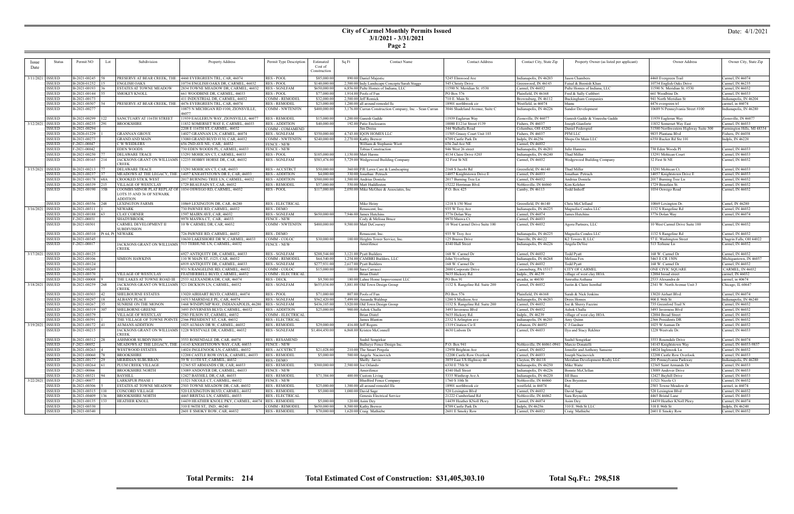|--|

| ssue      | <b>Status</b>                  | Permit NO<br>Lot              | Subdivision                                            | Property Address                                                                                     | Permit Type Description                       | Estimated                    | Sq Ft | <b>Contact Name</b>                                                     | <b>Contact Address</b>                          | Contact City, State Zip                       | Property Owner (as listed per applicant) | Owner Address                                    | Owner City, State Zip                |
|-----------|--------------------------------|-------------------------------|--------------------------------------------------------|------------------------------------------------------------------------------------------------------|-----------------------------------------------|------------------------------|-------|-------------------------------------------------------------------------|-------------------------------------------------|-----------------------------------------------|------------------------------------------|--------------------------------------------------|--------------------------------------|
|           |                                |                               |                                                        |                                                                                                      |                                               | Cost of                      |       |                                                                         |                                                 |                                               |                                          |                                                  |                                      |
| Date      |                                |                               |                                                        |                                                                                                      |                                               | Construction                 |       |                                                                         |                                                 |                                               |                                          |                                                  |                                      |
| 3/11/2021 | <b>ISSUED</b>                  | B-2021-00245                  |                                                        |                                                                                                      | <b>RES - POOL</b>                             | \$85,000.00                  |       |                                                                         | 5245 Elmwood Ave                                |                                               |                                          |                                                  | Carmel, IN 46074                     |
|           | <b>ISSUED</b>                  | B-2020-01252   15             | <b>ENGLISH OAKS</b>                                    | PRESERVE AT BEAR CREEK, THE   4460 EVERGREEN TRL, CAR, 46074<br>10734 ENGLISH OAKS DR, CARMEL, 46032 | <b>RES-POOL</b>                               |                              |       | 890.00 Daniel Majestic<br>2,500.00 Indy Landscape Concepts/Sarah Staggs |                                                 | Indianapolis, IN 46203<br>Greenwood, IN 46143 | Jason Chambers<br>Faisal & Beenish Khan  | 4460 Evergreen Trail<br>10734 English Oaks Drive | Carmel, IN 46235                     |
|           | <b>ISSUED</b>                  | B-2021-00193                  | <b>ESTATES AT TOWNE MEADOW</b>                         | 2834 TOWNE MEADOW DR, CARMEL, 46032                                                                  | <b>RES - SGNLFAM</b>                          | \$140,000.00<br>\$650,000.00 |       | 6,856.00 Pulte Homes of Indiana, LLC                                    | 545 Christy Drive<br>11590 N. Meridian St. #530 | Carmel, IN 46032                              | Pulte Homes of Indiana, LLC              | 11590 N. Meridian St. #530                       | Carmel, IN 46032                     |
|           | <b>ISSUED</b>                  | B-2021-00144                  | <b>SMOKEY KNOLL</b>                                    | 661 WOODBINE DR, CARMEL, 46033                                                                       | RES - POOL                                    | \$77,000.00                  |       | 1,914.00 Pools of Fun                                                   | PO Box 576                                      | lainfield, IN 46168                           | Fred & Sally Cuthbert                    | 661 Woodbine Dr.                                 | Carmel, IN 46033                     |
|           | <b>ISSUED</b>                  | B-2021-00173                  |                                                        | 411 INDUSTRIAL DR, CARMEL, 46032                                                                     | COMM - REMODEL                                | \$32,000.00                  |       | $2,500.00$ Jeff Romick                                                  | 710 E. Main St.                                 | Brownsburg, IN 46112                          |                                          | 941 North Meridian St                            | Indianapolis, IN 46204               |
|           | <b>ISSUED</b>                  | B-2021-00307                  |                                                        |                                                                                                      |                                               |                              |       |                                                                         |                                                 |                                               | Buckingham Companies                     |                                                  |                                      |
|           |                                | 54                            | PRESERVE AT BEAR CREEK, THE                            | 4476 EVERGREEN TRL, CAR, 46074                                                                       | <b>RES - REMODEL</b>                          | \$23,000.00                  |       | 1,200.00 all around remodel llc                                         | 18901 northbrook cir                            | Westfield, in 46074                           | bhanu                                    | 4476 evergreen trl                               | carmel, in 46074                     |
|           | <b>ISSUED</b>                  | B-2021-00277                  |                                                        | 10875 N MICHIGAN RD #100, ZIONSVILLE,<br>46077                                                       | <b>COMM - NWTENFIN</b>                        | \$400,000.00                 |       | 3,176.00 Curran Construction Company, Inc. - Sean Curran                | 3046 Shadeland Avenue, Suite C                  | Indianapolis, IN 46226                        | Sandor Development                       | 10689 N Pennsylvania Street #100                 | Indianapolis, IN 46280               |
|           | <b>ISSUED</b>                  | B-2021-00299<br>$ 122\rangle$ | SANCTUARY AT 116TH STREET                              | 11939 EAGLERUN WAY, ZIONSVILLE, 46077                                                                | <b>RES - REMODEL</b>                          | \$15,000.00                  |       | 1,200.00 Ganesh Gadde                                                   | 11939 Eaglerun Way                              | Zionsville, IN 46077                          | Ganesh Gadde & Vineesha Gadde            | 11939 Eaglerun Way                               | Zionsville, IN 46077                 |
| 3/12/2021 | <b>ISSUED</b>                  | B-2021-00235<br>1291          | <b>BROOKSHIRE</b>                                      | 11832 SOMERSET WAY E, CARMEL, 46033                                                                  | <b>RES - ADDITION</b>                         | \$40,000.00                  |       | 192.00 Patio Enclosures                                                 | 10080 E121st Street #139                        | ishers, IN 46037                              | Joseph Gianforte                         | 11832 Somerset Way East                          | Carmel, IN 46033                     |
|           | <b>ISSUED</b>                  | B-2021-00294                  |                                                        | 2208 E 116TH ST, CARMEL, 46032                                                                       | COMM - COMAMEND                               |                              |       | Jim Dreiss                                                              | 344 Walhalla Road                               | Columbus, OH 43202                            | Daniel Federspiel                        | 31500 Northwestern Highway Suite 300             | Farmington Hills, MI 48334           |
|           | <b>ISSUED</b>                  | B-2020-01229                  | <b>GRANNAN GROVE</b>                                   | 14027 GRANNAN LN, CARMEL, 46074                                                                      | RES - SGNLFAM                                 | \$350,000.00                 |       | 4,743.00 IQON HOMES LLC                                                 | 11505 Grassy Court Unit 103                     | Fishers, IN 46037                             | PFM LLC                                  | 9835 Plantana Blvd                               | Fishers, IN 46038                    |
|           | <b>ISSUED</b>                  | B-2021-00273                  | <b>GRAND AND MAIN</b>                                  | 13080 GRAND BLVD #130, CAR, 46032                                                                    | COMM - NWTENFIN                               | \$240,000.00                 |       | 2,270.00 Kathy Brewer                                                   | 8709 Castle Park Dr                             | Indpls, IN 46256                              | Shops On Main LLC                        | 6350 Rucker Rd Ste 101                           | Indpls, IN 46220                     |
|           | <b>ISSUED</b>                  | F-2021-00047                  | C W WEIDLERS                                           | 656 2ND AVE NE, CAR, 46032                                                                           | <b>FENCE - NEW</b>                            |                              |       | William & Stephanie Wiott                                               | 656 2nd Ave NE                                  | Carmel, IN 46032                              |                                          |                                                  |                                      |
|           | <b>ISSUED</b>                  | F-2021-00042                  | <b>EDEN WOODS</b>                                      | 730 EDEN WOODS PL, CARMEL, 46033                                                                     | <b>FENCE - NEW</b>                            |                              |       | Tobias Construction                                                     | 946 West 26 street                              | Indianapolis, IN 46201                        | Julie Hanners                            | 730 Eden Woods Pl                                | Carmel, IN 46033                     |
|           | <b>ISSUED</b>                  | B-2021-00250                  | <b>DELAWARE TRACE</b>                                  | 13291 MOHICAN CT, CARMEL, 46033                                                                      | RES - POOL                                    | \$105,000.00                 |       | 1,150.00 Matt Harms                                                     | 4134 Claire Drive #203                          |                                               | Thad Miller                              | 13291 Mohican Court                              | Carmel, IN 46033                     |
|           | <b>ISSUED</b>                  | B-2021-00165<br>214           |                                                        | JACKSONS GRANT ON WILLIAMS   12235 HOBBY HORSE DR, CAR, 46032                                        | RES - SGNLFAM                                 | \$583,474.00                 |       | 5,729.00 Wedgewood Building Company                                     | 32 First St NE                                  | Indianapolis, IN 46240<br>Carmel, IN 46032    | Wedgewood Building Company               | 32 First St NE                                   | Carmel, IN 46032                     |
|           |                                |                               | <b>CREEK</b>                                           |                                                                                                      |                                               |                              |       |                                                                         |                                                 |                                               |                                          |                                                  |                                      |
|           | 3/15/2021   ISSUED             | B-2021-00213                  | <b>DELAWARE TRACE</b>                                  | 13291 MOHICAN CT, CAR, 46033                                                                         | RES - ACCSTRCT                                | \$50,000.00                  |       | 360.00 PJE Lawn Care & Landscaping                                      | 2168 S Jacobi Rd                                | Greenfield, IN 46140                          | Thad Miller                              | 13291 Mohican Ct.                                | Carmel, IN 46033                     |
|           | <b>ISSUED</b>                  | B-2021-00237                  |                                                        | MEADOWS AT THE LEGACY, THE 14057 KNIGHTSTOWN DR E, CAR, 46033                                        | <b>RES - ADDITION</b>                         | \$4,000.00                   |       | 330.00 Jonathan Petruch                                                 | 14057 Knightstown Drive E                       | Carmel, IN 46033                              | Jonathan Petruch                         | 14057 Knightstown Drive E                        | Carmel, IN 46033                     |
|           | <b>ISSUED</b>                  | B-2021-00178<br>68A           | <b>CROOKED STICK WEST</b>                              | 2017 BURNING TREE LN, CARMEL, 4603:                                                                  | <b>RES - ADDITION</b>                         | \$500,000.00                 |       | 1,500.00 Andrius Doniela                                                | 2017 Burning Tree Ln                            | Carmel, IN 46032                              | Andrius Doniela                          | 2017 Burning Tree Ln                             | Carmel, IN 46032                     |
|           | <b>ISSUED</b>                  | B-2021-00339<br> 215          | VILLAGE OF WESTCLAY                                    | 1729 BEAUFAIN ST, CAR, 46032                                                                         | <b>RES - REMODEI</b>                          | \$57,000.00                  |       | 550.00 Matt Huddleston                                                  | 15222 Herriman Blvd.                            | Noblesville, IN 46060                         | Kim Keleher                              | 1729 Beaufain St.                                | Carmel, IN 46032                     |
|           | <b>ISSUED</b>                  | B-2021-00190<br>35B           |                                                        | COOMBS MINOR PLAT REPLAT OF 1034 OSWEGO RD, CARMEL, 46032                                            | RES - POOL                                    | \$117,000.00                 |       | 2,050.00 Mike McGhee & Associates, Inc.                                 | P.O. Box 425                                    | Camby, IN 46113                               | Todd Imhoff                              | 1034 Oswego Road                                 | Carmel, IN 46032                     |
|           |                                |                               | LOTS 35 AND 36 OF NEWARK                               |                                                                                                      |                                               |                              |       |                                                                         |                                                 |                                               |                                          |                                                  |                                      |
|           |                                |                               | ADDITION                                               |                                                                                                      |                                               |                              |       |                                                                         |                                                 |                                               |                                          |                                                  |                                      |
|           | ISSUED                         | B-2021-00356<br>248           | <b>LEXINGTON FARMS</b>                                 | 10869 LEXINGTON DR, CAR, 46280                                                                       | <b>RES - ELECTRICAL</b>                       |                              |       | Mike Heiny                                                              | 1218 S 150 West                                 | Greenfield, IN 46140                          | Chris McClelland                         | 10869 Lexington Dr.                              | Camel, IN 46280                      |
| 3/16/2021 | <b>ISSUED</b>                  | B-2021-00311                  | <b>NEWARK</b>                                          | 730 PAWNEE RD, CARMEL, 46032                                                                         | <b>RES - DEMO</b>                             |                              |       | Renascent, Inc.                                                         | 935 W Troy Ave                                  | Indianapolis, IN 46225                        | Magnolia Condos LLC                      | 1132 S Rangeline Rd                              | Carmel, IN 46032                     |
|           | <b>ISSUED</b>                  | B-2021-00188                  | <b>CLAY CORNER</b>                                     | 1597 MAIRN AVE, CAR, 46032                                                                           | <b>RES - SGNLFAM</b>                          | \$650,000.00                 |       | 7,946,00 James Hutchins                                                 | 3776 Dolan Way                                  | Carmel, IN 46074                              | James Hutchins                           | 3776 Dolan Way                                   | Carmel, IN 46074                     |
|           | <b>ISSUED</b>                  | F-2021-00031                  | <b>SHADYBROOK</b>                                      | 9970 MASWA CT. CAR. 46033                                                                            | <b>FENCE - NEW</b>                            |                              |       | Cody & Melissa Bruce                                                    | 9970 Maswa Ct.                                  | Carmel, IN 46033                              |                                          |                                                  |                                      |
|           | <b>ISSUED</b>                  | B-2021-00301                  | CARMEL DEVELOPMENT II                                  | 10 W CARMEL DR, CAR, 46032                                                                           | COMM - NWTENFIN                               | \$400,000.00                 |       | 9,500.00 Matt DeCoursey                                                 | 10 West Carmel Drive Suite 100                  | Carmel, IN 46032                              | Agora Partners, LLC                      | 10 West Carmel Drive Suite 100                   | Carmel, IN 46032                     |
|           |                                |                               | <b>SUBDIVISION</b>                                     |                                                                                                      |                                               |                              |       |                                                                         |                                                 |                                               |                                          |                                                  |                                      |
|           | <b>ISSUED</b>                  | B-2021-00310                  | Pt 64, Pt NEWARK                                       | 726 PAWNEE RD, CARMEL, 46032                                                                         | <b>RES - DEMO</b>                             |                              |       | Renascent, Inc.                                                         | 935 W Troy Ave                                  | Indianapolis, IN 46225                        | Magnolia Condos LLC                      | 1132 S Rangeline Rd                              | Carmel, IN 46032                     |
|           | <b>ISSUED</b>                  | B-2021-00345                  |                                                        | 10630 LAKESHORE DR W, CARMEL, 46033                                                                  | COMM - COLOC                                  | \$30,000.00                  |       | 100.00 Heights Tower Service, Inc.                                      | 125 Brazos Drive                                | Danville, IN 46122                            | K2 Towers II, LLC                        | 57 E. Washington Street                          | Chagrin Falls, OH 44022              |
|           | <b>ISSUED</b>                  | F-2021-00017                  |                                                        | JACKSONS GRANT ON WILLIAMS   513 TERHUNE LN, CARMEL, 46032                                           | FENCE - NEW                                   |                              |       | Amerifence                                                              | 4340 Hull Street                                | Indianapolis, IN 46226                        | Angela DeVoe                             | 513 Terhune Ln                                   | Carmel, IN 46032                     |
|           |                                |                               | <b>CREEK</b>                                           |                                                                                                      |                                               |                              |       |                                                                         |                                                 |                                               |                                          |                                                  |                                      |
| 3/17/2021 | <b>ISSUED</b>                  | B-2021-00125                  |                                                        | 6927 ANTIQUITY DR, CARMEL, 46033                                                                     | <b>RES - SGNLFAM</b>                          | \$288,544.00                 |       | 3,121.00 Pyatt Builders                                                 | 168 W. Carmel Dr                                | Carmel, IN 46032                              | <b>Todd Pyatt</b>                        | 168 W. Carmel Dr                                 | Carmel, IN 46032                     |
|           | <b>ISSUED</b>                  | B-2021-00106                  | <b>SIMEON HAWKINS</b>                                  | 110 W MAIN ST, #125, CAR, 46032                                                                      | COMM - REMODEI                                | \$64,540.00                  |       | 1,254.00 CAMBRI Builders, LLC                                           | John Vyverberg                                  | Indianapolis, IN 46268                        | Melissa Fox                              | 5463 E CR 150N                                   | Michigantown, IN 46057               |
|           | <b>ISSUED</b>                  | B-2021-00124                  |                                                        | 6919 ANTIQUITY DR, CARMEL, 46033                                                                     | <b>RES - SGNLFAM</b>                          | \$277,931.00                 |       | 2,617.00 Pyatt Builders                                                 | 168 W. Carmel Dr                                | Carmel, IN 46032                              | Todd Pyatt                               | 168 W. Carmel Dr                                 | Carmel, IN 46032                     |
|           | <b>ISSUED</b>                  | B-2021-00269                  |                                                        | 931 N RANGELINE RD, CARMEL, 46032                                                                    | COMM - COLOC                                  | \$15,000.00                  |       | 100.00 Sara Carracci                                                    | 2000 Corporate Drive                            | Canonsburg, PA 1531'                          | <b>CITY OF CARMEL</b>                    | ONE CIVIC SQUARE                                 | CARMEL, IN 46032                     |
|           | <b>ISSUED</b>                  | B-2021-00370                  | VILLAGE OF WESTCLAY                                    | FEATHERBELL BLVD, CARMEL, 46032                                                                      | COMM - ELECTRICAL                             |                              |       | Brian Distel                                                            | 5635 Hickory Rd.                                | Indpls., IN 46239                             | village of west clay HOA                 | 12884 broad street                               | carmel, IN 46032                     |
|           | <b>ISSUED</b>                  | B-2021-00008                  | THE LAKES AT TOWNE ROAD III                            | 2533 ALEXANDRA DR, CAR, 46074                                                                        | <b>RES - DECK</b>                             | \$9,500.00                   |       | 180.00 Lahne Home Improvement LLC                                       | PO Box 91                                       | arcadia, in 46030                             | Amrutha Asthana                          | 2533 Alexandra dr                                | carmel, in 40674                     |
| 3/18/2021 | <b>ISSUED</b>                  | B-2021-00259<br>268           |                                                        | JACKSONS GRANT ON WILLIAMS 521 DICKSON LN, CARMEL, 46032                                             | <b>RES - SGNLFAM</b>                          | \$655,034.00                 |       | 3,881.00 Old Town Design Group                                          | 1132 S. Rangeline Rd. Suite 200                 | Carmel, IN 46032                              | Justin & Claire Isenthal                 | 2341 W. North Avenue Unit 3                      | Chicago, IL 60647                    |
|           |                                |                               | CREEK                                                  |                                                                                                      |                                               |                              |       |                                                                         |                                                 |                                               |                                          |                                                  |                                      |
|           | <b>ISSUED</b>                  | B-2021-00303                  | <b>SHELBOURNE ESTATES</b>                              | 13020 AIRHART BLVD, CARMEL, 46074                                                                    | RES - POOL                                    | \$71,000.00                  |       | 807.00 Pools of Fun                                                     | PO Box 576                                      | Plainfield, IN 46168                          | Sarah & Nick Jenkins                     | 13020 Airhart Blvd.                              | Carmel, IN 46074                     |
|           | <b>ISSUED</b>                  | B-2021-00297                  | <b>ALBANY PLACE</b>                                    | 14313 MARSDALE PL, CAR, 46074                                                                        | <b>RES - SGNLFAM</b>                          | \$562,420.00                 |       | 7,499.00 Amanda Waldrup                                                 | 1200 S Madison Ave                              | Indianapolis, IN 46203                        | Drees Homes                              | 900 E 96th St<br>735 Greenford Trail N           | Indianapolis, IN 46240               |
|           | <b>ISSUED</b><br><b>ISSUED</b> | B-2021-00267<br>307           | <b>SUNRISE ON THE MONON</b><br><b>SHELBORNE GREENE</b> | 1468 WINDPUMP WAY, INDIANAPOLIS, 46280<br>3493 INVERNESS BLVD, CARMEL, 46032                         | <b>RES - SGNLFAM</b><br><b>RES - ADDITION</b> | \$436,105.00                 |       | 3,920.00 Old Town Design Group                                          | 1132 S. Rangeline Rd. Suite 200                 | Carmel, IN 46032                              | Joe & Sherry Fazzini                     |                                                  | Carmel, IN 46032                     |
|           | <b>ISSUED</b>                  | B-2021-00319<br>B-2021-00379  | VILLAGE OF WESTCLAY                                    | 2583 FILSON ST, CARMEL, 46032                                                                        | COMM - ELECTRICAL                             | \$25,000.00                  |       | 900.00 Ashok Challa<br>Brian Distel                                     | 3493 Inverness Blvd                             | Carmel, IN 46032                              | Ashok Challa                             | 3493 Inverness Blvd                              | Carmel, IN 46032                     |
|           | <b>ISSUED</b>                  | B-2021-00391                  | THE VILLAGE OF TOWNE POINT                             | 2366 PRESIDENT ST, CAR, 46032                                                                        | <b>RES - ELECTRICAL</b>                       |                              |       | James Blanton                                                           | 5635 Hickory Rd.<br>2332 S Arlington ave        | Indpls., IN 46239<br>indianapolis, IN 4620.   | village of west clay HOA<br>Amy Quinn    | 12884 Broad Street<br>2366 Presidents DR         | Carmel, IN 46032<br>Carmel, IN 46032 |
|           | <b>ISSUED</b>                  | B-2021-00172                  | <b>AUMANS ADDITION</b>                                 | 1025 AUMAN DR W. CARMEL, 46032                                                                       | <b>RES - REMODEL</b>                          | \$29,000.00                  |       | 416.00 Jeff Rogers                                                      |                                                 | Lebanon, IN 46052                             | C J Gardner                              | 1025 W Auman Dr                                  | Carmel, IN 46032                     |
| 3/19/2021 | <b>ISSUED</b>                  | B-2021-00215                  |                                                        | JACKSONS GRANT ON WILLIAMS   1228 WESTVALE DR, CARMEL, 46032                                         | <b>RES - SGNLFAM</b>                          |                              |       | 6,868.00 Kristen McConnell                                              | 1319 Citation Cir E<br>4630 Lisborn Dr          | Carmel, IN 46033                              | Ilya and Stacy Rekhter                   | 1228 Westvale Dr.                                |                                      |
|           |                                |                               | <b>CREEK</b>                                           |                                                                                                      |                                               | \$1,404,450.00               |       |                                                                         |                                                 |                                               |                                          |                                                  | Carmel, IN 46033                     |
|           | ISSUED                         | B-2021-00312 28               | <b>ASHMOOR SUBDIVISION</b>                             | 3553 ROSENDALE DR. CAR. 46074                                                                        | <b>RES - RESAMEND</b>                         |                              |       | Sushil Songirkar                                                        |                                                 |                                               | Sushil Songirkar                         | 3553 Rosendale Drive                             | Carmel, IN 46074                     |
|           | ISSUED                         | F-2021-00052                  |                                                        | MEADOWS AT THE LEGACY, THE 14143 KNIGHTSTOWN WAY, CAR, 46033                                         | <b>FENCE - NEW</b>                            |                              |       | Bullseye Fence Design Inc.                                              | P.O. Box 941                                    | Noblesville, IN 46061-0941   Marcio Donatelli |                                          | 14143 Knightstown Way                            | Carmel, IN 46033-9837                |
|           | ISSUED                         | B-2021-00263                  | <b>WESTWOOD ESTATES</b>                                | 14024 INGLENOOK LN, CARMEL, 46032                                                                    | <b>RES - ACCSTRCT</b>                         | \$21,028.00                  |       | 210.00 The Smart Pergola                                                | 12958 Brighton Ave                              | Carmel, IN 46032                              | Jennifer and Anthony Sansone             | 14024 Inglenook Ln                               | Carmel, IN 46032                     |
|           | <b>ISSUED</b>                  | B-2021-00060                  | <b>BROOKSHIRE</b>                                      | 12208 CASTLE ROW OVLK, CARMEL, 46033                                                                 | <b>RES - REMODEL</b>                          | \$5,000.00                   |       | 500.00 Angela Nacinovich                                                | 12208 Castle Row Overlook                       | Carmel, IN 46033                              | Joseph Nacinovich                        | 12208 Castle Row Overlook                        | Carmel, IN 46033                     |
|           | <b>ISSUED</b>                  | B-2021-00177                  | MERIDIAN SUBURBAN                                      | 59 W 111TH ST, CARMEL, 46032                                                                         | RES - DEMO                                    |                              |       | Shelly Jarvis                                                           | 3859 East US Highway 40                         | Clayton, IN 46118                             | Meridian Development Realty LLC          | 201 Pennsylvania Parkway                         | Indianapolis, IN 46280               |
|           | <b>ISSUED</b>                  | B-2021-00264                  | PLUM CREEK VILLAGE                                     | 12365 ST ARMANDS CIR, CAR, 46033                                                                     | <b>RES - REMODEL</b>                          | \$300,000.00                 |       | $2,500.00$ Joe Orlando                                                  | 6330 E 75th St                                  | Indianapolis, IN 46250                        | Mike Waite                               | 12365 Saint Armands Dr                           | Carmel, IN 46033                     |
|           | <b>ISSUED</b>                  | F-2021-00066                  | <b>BROOKSHIRE NORTH</b>                                | 13089 ANDOVER DR, CARMEL, 46033                                                                      | <b>FENCE - NEW</b>                            |                              |       | Amerifence                                                              | 4340 Hull Street                                | Indianapolis, IN 46226                        | Bonnie McClellan                         | 13089 Andover Drive                              | Carmel, IN 46033                     |
|           | <b>ISSUED</b>                  | B-2021-00321                  | <b>BAYHILL</b>                                         | 12427 BAYHILL DR, CAR, 46033                                                                         | <b>RES-REMODEL</b>                            | \$71,384.00                  |       | 400.00 Custom Living                                                    | 5335 Winthrop Ave A                             | Indianapolis, IN 46220                        | Jill Bass                                | 12427 Bayhill Drive                              | Carmel, IN 46033                     |
|           | 3/22/2021 ISSUED               | F-2021-00077                  | <b>LARKSPUR PHASE 1</b>                                | 11521 NICOLE CT, CARMEL, 46032                                                                       | <b>FENCE - NEW</b>                            |                              |       | <b>BlueBird Fence Company</b>                                           | 1760 S 10th St                                  | Noblesville, IN 46060                         | Don Bryenton                             | 11521 Nicole Ct                                  | Carmel, IN 46032                     |
|           | <b>ISSUED</b>                  | B-2021-00306                  | ESTATES AT TOWNE MEADOW                                | 2503 TOWNE MEADOW DR, CAR, 46032                                                                     | <b>RES - REMODEL</b>                          | \$25,000.00                  |       | 1,300.00 all around remodel lllc                                        | 18901 northbrook cir                            | westfield, in 46074                           | Rai                                      | 2503 Towne Meadow dr                             | carmel, in 46074                     |
|           | <b>ISSUED</b>                  | B-2021-00315   110            | <b>CONCORD VILLAGE</b>                                 | 520 LEXINGTON BLVD, CARMEL, 46032                                                                    | <b>RES - REMODEL</b>                          | \$5,000.00                   |       | $1,000.00$ David Sage                                                   | 520 Lexington Blvd                              | Carmel, IN 46032                              | David Sage                               | 520 Lexington Blvd                               | Carmel, IN 46032                     |
|           | <b>ISSUED</b>                  | B-2021-00409<br>136           | <b>BROOKSHIRE NORTH</b>                                | 4465 BRISTAL LN, CARMEL, 46033                                                                       | <b>RES - ELECTRICAL</b>                       |                              |       | Genesis Electrical Service                                              | 21222 Cumberland Rd                             | Noblesville, IN 46062                         | Sara Reynolds                            | 4465 Bristal Lane                                | Carmel, IN 46033                     |
|           | <b>ISSUED</b>                  | B-2021-00135<br>133           | <b>HEATHER KNOLL</b>                                   | 14439 HEATHER KNOLL PKY, CARMEL, 46074   RES - REMODEL                                               |                                               | \$5,000.00                   |       | $120.00$ Asim Dey                                                       | 14439 Heather KNoll Pkwy                        | Carmel, IN 46074                              | Asim Dey                                 | 14439 Heather KNoll Pkwy                         | Carmel, IN 46074                     |
|           | <b>ISSUED</b>                  | B-2021-00330                  |                                                        | 310 E 96TH ST, IND, 46240                                                                            | COMM - REMODEL                                | \$650,000.00                 |       | 8,500.00 Kathy Brewer                                                   | 8709 Castle Park Dr                             | Indpls, IN 46256                              | 310 E. 96th St LLC                       | 310 E 96th St                                    | Indpls, IN 46240                     |
|           | <b>ISSUED</b>                  | B-2021-00340                  |                                                        | 2601 E SMOKY ROW, CAR, 46032                                                                         | <b>RES - REMODEL</b>                          | \$70,000.00                  |       | 1,620.00 Craig Mathiebe                                                 | 2601 E Smoky Row                                | Carmel, IN 46032                              | Craig Mathiebe                           | 2601 E Smoky Row                                 | Carmel, IN 46032                     |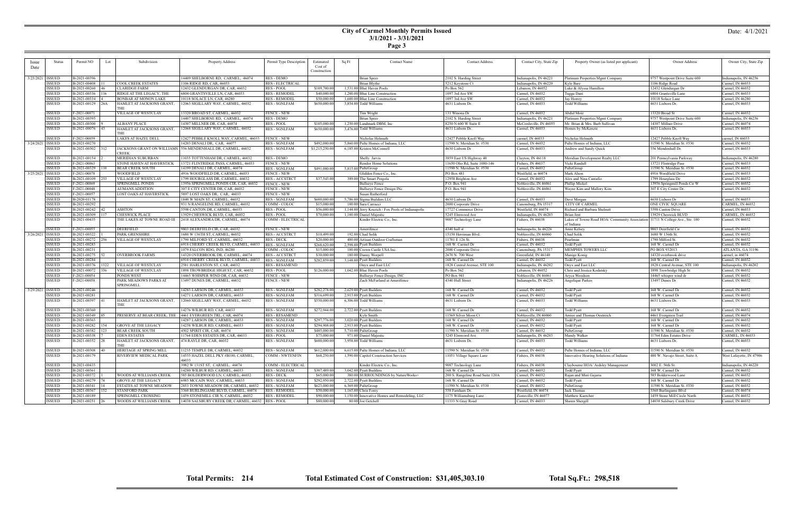|--|

|                    |                    | Permit NO       |      | Subdivision                    |                                                               |                         |                      |       | <b>Contact Name</b>                                | <b>Contact Address</b>           |                         | Property Owner (as listed per applicant)                                                      | Owner Address                  |                          |
|--------------------|--------------------|-----------------|------|--------------------------------|---------------------------------------------------------------|-------------------------|----------------------|-------|----------------------------------------------------|----------------------------------|-------------------------|-----------------------------------------------------------------------------------------------|--------------------------------|--------------------------|
| <i>ssue</i>        | Status             |                 | Lot  |                                | Property Address                                              | Permit Type Description | Estimated<br>Cost of | Sq Ft |                                                    |                                  | Contact City, State Zip |                                                                                               |                                | Owner City, State Zip    |
| Date               |                    |                 |      |                                |                                                               |                         | Construction         |       |                                                    |                                  |                         |                                                                                               |                                |                          |
|                    |                    |                 |      |                                |                                                               |                         |                      |       |                                                    |                                  |                         |                                                                                               |                                |                          |
|                    | 3/23/2021   ISSUED | B-2021-00396    |      |                                | 14409 SHELBORNE RD, CARMEL, 46074                             | <b>RES - DEMO</b>       |                      |       | <b>Brian Speer</b>                                 | 2102 S. Harding Street           | Indianapolis, IN 4622   | Platinum Properties Mgmt Company                                                              | 9757 Westpoint Drive Suite 600 | Indianapolis, IN 46256   |
|                    | <b>ISSUED</b>      | B-2021-00408    |      | <b>COOL CREEK ESTATES</b>      | 1106 RIDGE RD, CAR, 46033                                     | <b>RES - ELECTRICAL</b> |                      |       | Brian Blythe                                       | 5212 Keystone Ct                 | Indianapolis, IN 46220  | Kyle Bare                                                                                     | 1106 Ridge Road                | Carmel, IN 46033         |
|                    | <b>ISSUED</b>      | B-2021-00260    |      | <b>CLARIDGE FARM</b>           | 12432 GLENDURGAN DR, CAR, 46032                               | <b>RES-POOL</b>         | \$109,700.00         |       | 1,531.00 Blue Haven Pools                          | Po Box 562                       | Lebanon, IN 46052       | Luke & Alyssa Hamilton                                                                        | 12432 Glendurgan Dr            | Carmel, IN 46032         |
|                    | <b>ISSUED</b>      | B-2021-00336    |      | RIDGE AT THE LEGACY, THE       | 6804 GRANTSVILLE LN, CAR, 46033                               | <b>RES - REMODEL</b>    | \$40,000.0           |       | 1.200.00 Blue Line Construction                    | 1097 3rd Ave SW                  | Carmel, IN 46032        | Tugga Dani                                                                                    | 6804 Grantsville Lane          | Carmel, IN 46033         |
|                    | <b>ISSUED</b>      | B-2021-00334    |      | <b>BONBAR AT MONON LAKE</b>    | 10118 SOLACE LN, CAR, 46280                                   | <b>RES - REMODEL</b>    | \$50,000.00          |       | 1,600.00 Blue Line Construction                    | 1097 3rd Ave SW                  | Carmel, IN 46032        | Jay Horrey                                                                                    | 10118 Solace Lane              | Carmel, IN 46280         |
|                    | <b>ISSUED</b>      | B-2021-00129    | 126A | HAMLET AT JACKSONS GRANT,      | 12063 SIGILLARY WAY, CARMEL, 46032                            | <b>RES - SGNLFAM</b>    | \$650,000.00         |       | 3,854.00 Todd Williams                             | 4631 Lisborn Dr.                 | Carmel, IN 46033        | <b>Todd Williams</b>                                                                          | 4631 Lisborn Dr.               | Carmel, IN 46033         |
|                    |                    |                 |      | THE                            |                                                               |                         |                      |       |                                                    |                                  |                         |                                                                                               |                                |                          |
|                    | <b>ISSUED</b>      | F-2021-00071    |      |                                |                                                               | <b>FENCE - NEW</b>      |                      |       |                                                    |                                  |                         | Abdul Moiz                                                                                    | 13320 Broad St                 |                          |
|                    |                    |                 |      | VILLAGE OF WESTCLAY            | 13320 BROAD ST, CARMEL, 46032                                 |                         |                      |       | Tim Wright                                         | 131 Winona Dr                    | Carmel, IN 46032        |                                                                                               |                                | Carmel, IN 46032         |
|                    | <b>ISSUED</b>      | B-2021-00395    |      |                                | 14407 SHELBORNE RD, CARMEL, 46074                             | <b>RES - DEMO</b>       |                      |       | <b>Brian Speer</b>                                 | 2102 S. Harding Street           | Indianapolis, IN 4622   | Platinum Properties Mgmt Company                                                              | 9757 Westpoint Drive Suite 600 | Indianapolis, IN 46256   |
|                    | <b>ISSUED</b>      | B-2021-00300    |      | <b>ALBANY PLACE</b>            | 14307 MILLNER DR, CAR, 46074                                  | <b>RES-POOL</b>         | \$105,000.00         |       | 1,250.00 Landmark DBM, Inc.                        | 8250 N 600 W Suite E             | McCordsville, IN 46055  | Mr. Brian & Mrs. Barb Sullivan                                                                | 14307 Millner Drive            | Carmel, IN 46074         |
|                    | <b>ISSUED</b>      | B-2021-00076    |      | HAMLET AT JACKSONS GRANT.      | 12068 SIGILLARY WAY, CARMEL, 46032                            | <b>RES - SGNLFAM</b>    | \$650,000.00         |       | 3,476.00 Todd Williams                             | 4631 Lisborn Dr.                 | Carmel, IN 46033        | Homes by McKenzie                                                                             | 4631 Lisborn Dr.               | Carmel, IN 46033         |
|                    |                    |                 |      |                                |                                                               |                         |                      |       |                                                    |                                  |                         |                                                                                               |                                |                          |
|                    | <b>ISSUED</b>      | F-2021-00059    |      | LAKES AT HAZEL DELL            | 12427 PEBBLE KNOLL WAY, CARMEL, 46033                         | <b>FENCE - NEW</b>      |                      |       | Nicholas Helmuth                                   | 12427 Pebble Knoll Way           | carmel, IN 46033        | Nicholas Helmuth                                                                              | 12427 Pebble Knoll Way         | carmel, IN 46033         |
| 3/24/2021   ISSUED |                    | B-2021-00270    |      |                                | 14203 DENALI DR, CAR, 46077                                   | <b>RES - SGNLFAM</b>    | \$492,000.00         |       | 5,860,00 Pulte Homes of Indiana, LLC               | 11590 N. Meridian St. #530       | Carmel, IN 46032        | Pulte Homes of Indiana, LLC                                                                   | 11590 N. Meridian St. #530     | Carmel, IN 46032         |
|                    | <b>ISSUED</b>      | B-2021-00302    | 312  |                                | JACKSONS GRANT ON WILLIAMS   556 MENDENHALL DR, CARMEL, 46032 | <b>RES - SGNLFAM</b>    | \$1,215,250.00       |       | 6,185.00 Kristen McConnell                         | 4630 Lisborn Dr                  | Carmel, IN 46033        | Andrew and Sandy Quick                                                                        | 556 Mendenhall Dr              | Carmel, IN 46033         |
|                    |                    |                 |      | <b>CREEK</b>                   |                                                               |                         |                      |       |                                                    |                                  |                         |                                                                                               |                                |                          |
|                    | <b>ISSUED</b>      | B-2021-00154    |      | MERIDIAN SUBURBAN              | 11035 TOTTENHAM DR, CARMEL, 46032                             | <b>RES - DEMO</b>       |                      |       | Shelly Jarvis                                      | 3859 East US Highway 40          | Clayton, IN 46118       | Meridian Development Realty LLC                                                               | 201 Pennsylvania Parkway       | Indianapolis, IN 46280   |
|                    | <b>ISSUED</b>      | F-2021-00063    |      | STONE HAVEN AT HAVERSTICK      | 13721 FLINTRIDGE PASS, CARMEL, 46033                          | <b>FENCE - NEW</b>      |                      |       | Rendor Home Solutions                              | 11650 Olio Rd, Suite 1000-146    | Fishers, IN 46037       | Vicki Randall                                                                                 | 13721 Flintridge Pass          | Carmel, IN 46033         |
|                    | <b>ISSUED</b>      | B-2021-00329    |      | <b>BEAR CREEK SOUTH</b>        | 14199 DENALI DR, CARMEL, 46074                                | <b>RES - SGNLFAM</b>    | \$491,000.00         |       | 5,815.00 PulteGroup                                | 11590 N. Meridian St. #530       | Carmel, IN 46032        | PulteGroup                                                                                    | 11590 N. Meridian St. #530     | Carmel, IN 46032         |
| 3/25/2021   ISSUED |                    | F-2021-00078    |      | <b>WOODFIELD</b>               |                                                               |                         |                      |       |                                                    | PO Box 481                       |                         | Mark Alson                                                                                    |                                | Carmel, IN 46033         |
|                    |                    |                 |      |                                | 4916 WOODFIELD DR, CARMEL, 46033                              | <b>FENCE - NEW</b>      |                      |       | Glidden Fence Co., Inc.                            |                                  | Westfield, in 46074     |                                                                                               | 4916 Woodfield Drive           |                          |
|                    | <b>ISSUED</b>      | B-2021-00109    |      | VILLAGE OF WESTCLAY            | 1799 HOURGLASS DR, CARMEL, 46032                              | <b>RES-ACCSTRCT</b>     | \$37,543.00          |       | 389.00 The Smart Pergola                           | 12958 Brighton Ave               | Carmel, IN 46032        | Alex and Nina Cantafio                                                                        | 1799 Hourglass De              | Carmel, IN 46032         |
|                    | <b>ISSUED</b>      | F-2021-00069    |      | <b>SPRINGMILL PONDS</b>        | 13956 SPRINGMILL PONDS CIR, CAR, 4603                         | <b>FENCE - NEW</b>      |                      |       | <b>Bullseye Fence</b>                              | P.O. Box 941                     | Noblesville, IN 46061   | Phillip Mickel                                                                                | 13956 Springmill Ponds Cir W   | Carmel, IN 46032         |
|                    | <b>ISSUED</b>      | F-2021-00048    |      | <b>AUMANS ADDITION</b>         | 307 E CITY CENTER DR, CAR, 46032                              | <b>FENCE - NEW</b>      |                      |       | Bullseye Fence Design INc                          | P.O. Box 941                     | Noblesville, IN 46061   | Wayne Kim and Mallory Kim                                                                     | 307 E City Center Dr.          | Carmel, IN 46032         |
|                    | <b>ISSUED</b>      | F-2021-00057    |      | LOST OAKS AT HAVERSTICK        | 5897 LOST OAKS DR, CAR, 46033                                 | <b>FENCE - NEW</b>      |                      |       | Susan Rutherford                                   |                                  |                         |                                                                                               |                                |                          |
|                    | <b>ISSUED</b>      | B-2020-01178    |      |                                | 1840 W MAIN ST, CARMEL, 46032                                 | <b>RES - SGNLFAM</b>    | \$600,000.00         |       | 5,786.00 Sigma Builders LLC                        | 4630 Lisborn Dr                  | Carmel, IN 46033        | Dave Morgan                                                                                   | 4630 Lisborn Dr                | Carmel, IN 46033         |
|                    | <b>ISSUED</b>      | B-2021-00292    |      |                                | 931 N RANGELINE RD, CARMEL, 46032                             | COMM - COLOC            | \$15,000.00          |       | 100.00 Sara Carracci                               | 2000 Corporate Drive             | Canonsburg, PA 15317    | <b>CITY OF CARMEI</b>                                                                         | ONE CIVIC SQUARE               | CARMEL, IN 46032         |
|                    | <b>ISSUED</b>      | B-2021-00242    |      | <b>ASHTON</b>                  | 5598 CANTON DR, CARMEL, 46033                                 | RES - POOL              | \$56,000.00          |       | 1,144.00 Jerry Kruzich / Fox Pools of Indianapolis | 17727 Commerce Drive             | Westfield, IN 46074     | Richard and Barbara Shelnutt                                                                  | 5598 Canton Drive              | Carmel, IN 46033         |
|                    | <b>ISSUED</b>      | B-2021-00309    |      | <b>CHESWICK PLACE</b>          | 13929 CHESWICK BLVD, CAR, 46032                               | RES - POOL              | \$70,000.0           |       | 1,100.00 Daniel Majestic                           | 5245 Elmwood Ave                 | Indianapolis, IN 46203  | <b>Brian Jent</b>                                                                             | 13929 Cheswick BLVD            | CARMEL, IN 46032         |
|                    | <b>ISSUED</b>      | B-2021-00435    |      | THE LAKES AT TOWNE ROAD III    | 2418 ALEXANDRA DR, CARMEL, 46074                              | COMM - ELECTRICAL       |                      |       | Kinder Electric Co., Inc.                          | 9087 Technology Lane             | Fishers, IN 46038       |                                                                                               |                                | Carmel, IN 46032         |
|                    |                    |                 |      |                                |                                                               |                         |                      |       |                                                    |                                  |                         | Lakes of Towne Road HOA/ Community Association   11711 N College Ave., Ste. 100<br>of Indiana |                                |                          |
|                    |                    |                 |      |                                |                                                               |                         |                      |       |                                                    |                                  |                         |                                                                                               |                                |                          |
|                    | ISSUED             | F-2021-00055    |      | DEERFIELD                      | 9803 DEERFIELD CIR, CAR, 46032                                | <b>FENCE - NEW</b>      |                      |       | Amerifence                                         | 4340 hull st                     | Indianapolis, In 46226  | Anne Kelsey                                                                                   | 9803 Deerfield Cir             | Carmel, IN 46032         |
| 3/26/2021 ISSUED   |                    | B-2021-00322    |      | <b>PARK GRENSHIRE</b>          | 1680 W 136TH ST, CARMEL, 46032                                | <b>RES - ACCSTRCT</b>   | \$10,499.00          |       | 192.00 Chad Solik                                  | 15150 Herriman Blvd.             | Noblesville, IN 46060   | Chad Solik                                                                                    | 1680 W 136th St.               | Carmel, IN 46032         |
|                    | <b>ISSUED</b>      | B-2021-00272    |      | VILLAGE OF WESTCLAY            | 1790 MILFORD ST, CARMEL, 46032                                | <b>RES - DECK</b>       | \$20,000.00          |       | 400.00 Artisan Outdoor Craftsman                   | 11701 E 126 St.                  | Fishers, IN 46038       | Pearlman                                                                                      | 1790 Milford St.               | Carmel, IN 46032         |
|                    | <b>ISSUED</b>      | B-2021-00283    |      |                                | 6918 CHERRY CREEK BLVD, CARMEL, 46033   RES - SGNLFAM         |                         | \$268,620.00         |       | 2,598.00 Pyatt Builders                            | 168 W. Carmel Dr                 | Carmel, IN 46032        | <b>Todd Pyatt</b>                                                                             | 168 W. Carmel Dr               | Carmel, IN 46032         |
|                    | <b>ISSUED</b>      | B-2021-00231    |      |                                | 1079 FALCON RDG, IND, 46280                                   | COMM - COLOC            | \$15,000.00          |       | 100.00 Crown Castle USA Inc.                       | 2000 Corporate Drive             | Canonsburg, PA 15317    | MEMPHIS TOWERS LLC                                                                            | PO BOX 932013                  | ATLANTA, GA 31196        |
|                    | <b>ISSUED</b>      | B-2021-00275    |      | <b>OVERBROOK FARMS</b>         | 14320 OVERBROOK DR, CARMEL, 46074                             | <b>RES - ACCSTRCT</b>   | \$30,000.0           |       | 180.00 Danny Worpell                               | 2670 N. 700 West                 | Greenfield, IN 46140    | Manige Konig                                                                                  | 14320 overbrook drive          | carmel, in 46074         |
|                    | <b>ISSUED</b>      | B-2021-00284    |      |                                | 6910 CHERRY CREEK BLVD, CARMEL, 46033                         | <b>RES - SGNLFAM</b>    | \$282,859.00         |       | 3,148.00 Pyatt Builders                            | 168 W. Carmel Dr                 | Carmel, IN 46032        | <b>Todd Pyatt</b>                                                                             | 168 W. Carmel Dr               | Carmel, IN 46032         |
|                    | <b>ISSUED</b>      | B-2021-00376    | 1322 | VILLAGE OF WESTCLAY            | 2581 HARLESTON ST, CAR, 46032                                 | <b>RES - RESAMEND</b>   |                      |       | Onyx and East LLC                                  | 1828 Central Avenue, STE 100     | Indianapolis, IN 46202  | Onyx and East LLC                                                                             | 1828 Central Avenue, STE 100   | Indianapolis, IN 46202   |
|                    | <b>ISSUED</b>      | B-2021-00072    | 336  | <b>VILLAGE OF WESTCLAY</b>     | 1898 TROWBRIDGE HIGH ST, CAR, 46032                           | RES - POOL              | \$126,000.00         |       | 1,042.00 Blue Haven Pools                          | Po Box $562$                     | Lebanon, IN 46052       | Chris and Jessica Kodatsky                                                                    | 1898 Trowbridge High St        | Carmel, IN 46032         |
|                    | <b>ISSUED</b>      | F-2021-00054    |      |                                |                                                               | <b>FENCE - NEW</b>      |                      |       |                                                    | PO Box 941                       |                         |                                                                                               |                                |                          |
|                    |                    |                 |      | PONDS WEST                     | 14465 WHISPER WIND DR, CAR, 46032                             |                         |                      |       | Bullseye Fence Design, INC                         |                                  | Noblesville, IN 46061   | Aryca Woodson                                                                                 | 14465 whisper wind dr          | Carmel, IN 46032         |
|                    | <b>ISSUED</b>      | F-2021-00058    |      | PARK MEADOWS PARKS AT          | 13497 DUNES DR, CARMEL, 46032                                 | <b>FENCE - NEW</b>      |                      |       | Zach McFarland at Amerifence                       | 4340 Hull Street                 | Indianapolis, IN 46226  | Angelique Parkes                                                                              | 13497 Dunes Dr                 | Carmel, IN 46032         |
|                    |                    |                 |      | SPRINGMILL                     |                                                               |                         |                      |       |                                                    |                                  |                         |                                                                                               |                                |                          |
| 3/29/2021   ISSUED |                    | B-2021-00246    |      |                                | 14283 LARSON DR, CARMEL, 46033                                | <b>RES - SGNLFAM</b>    | \$282,278.00         |       | 2,629.00 Pyatt Builders                            | 168 W. Carmel Dr                 | Carmel, IN 46032        | <b>Todd Pyatt</b>                                                                             | 168 W. Carmel Dr               | Carmel, IN 46032         |
|                    | ISSUED             | B-2021-00281    |      |                                | 14271 LARSON DR, CARMEL, 46033                                | <b>RES - SGNLFAM</b>    | \$316,699.00         |       | 2,913.00 Pyatt Builders                            | 168 W. Carmel Dr                 | Carmel, IN 46032        | <b>Todd Pyatt</b>                                                                             | 168 W. Carmel Dr               | Carmel, IN 46032         |
|                    | <b>ISSUED</b>      | B-2021-00397    |      | HAMLET AT JACKSONS GRANT,      | 12060 SIGILLARY WAY, CARMEL, 46032                            | <b>RES - SGNLFAM</b>    | \$550,000.00         |       | 6,306.00 Todd Williams                             | 4631 Lisborn Dr.                 | Carmel, IN 46033        | <b>Todd Williams</b>                                                                          | 4631 Lisborn Dr.               | Carmel, IN 46033         |
|                    |                    |                 |      | THE                            |                                                               |                         |                      |       |                                                    |                                  |                         |                                                                                               |                                |                          |
|                    | <b>ISSUED</b>      | B-2021-00360    |      |                                | 14276 WILBUR RD, CAR, 46033                                   | <b>RES - SGNLFAM</b>    | \$272,944.00         |       | 2,722.00 Pyatt Builders                            | 168 W. Carmel Dr                 | Carmel, IN 46032        | Todd Pyatt                                                                                    | 168 W. Carmel Dr               | Carmel, IN 46032         |
|                    | <b>ISSUED</b>      | B-2021-00349    |      | PRESERVE AT BEAR CREEK. THE    | 4461 EVERGREEN TRL, CAR, 46074                                | <b>RES - RESAMEND</b>   |                      |       | Kyle Smith                                         | 11569 Silver Moon Ct             | Noblesville, IN 46060   | Amiee and Thomas Oestreich                                                                    | 4461 Evergreen Trail           | Carmel, IN 46074         |
|                    | <b>ISSUED</b>      | B-2021-00363    |      |                                | 14287 LARSON DR. CARMEL, 46033                                | <b>RES - SGNLFAM</b>    | \$297,776.00         |       | 3,020.00 Pyatt Builders                            | 168 W. Carmel Dr                 | Carmel, IN 46032        | <b>Todd Pyatt</b>                                                                             | 168 W. Carmel Dr               | Carmel, IN 46032         |
|                    | <b>ISSUED</b>      | B-2021-00282    | 154  | <b>GROVE AT THE LEGACY</b>     | 14258 WILBUR RD, CARMEL, 46033                                | <b>RES - SGNLFAM</b>    | \$294,908.00         |       | 2,913.00 Pyatt Builders                            | 168 W. Carmel Dr                 | Carmel, IN 46032        | <b>Todd Pyatt</b>                                                                             | 168 W. Carmel Dr               | Carmel, IN 46032         |
|                    | <b>ISSUED</b>      | B-2021-00382    | 123. | <b>BEAR CREEK SOUTH</b>        | 4502 SPIRIT CIR, CAR, 46074                                   | <b>RES - SGNLFAM</b>    | \$485,000.00         |       | 5,710.00 PulteGroup                                | 11590 N. Meridian St. #530       | Carmel, IN 46032        | PulteGroup                                                                                    | 11590 N. Meridian St. #530     | Carmel, IN 46032         |
|                    | <b>ISSUED</b>      |                 |      |                                |                                                               |                         | \$75,000.0           |       |                                                    |                                  |                         | Mandy Walker                                                                                  |                                |                          |
|                    |                    | B-2021-00338    |      | <b>EDEN ESTATES</b>            | 11764 EDEN ESTATES DR, CAR, 46033                             | <b>RES - POOL</b>       |                      |       | 971.00 Daniel Majestic                             | 5245 Elmwood Ave                 | Indianapolis, IN 4620   |                                                                                               | 11764 Eden Estates Drive       | CARMEL, IN 46033         |
|                    | <b>ISSUED</b>      | B-2021-00352    |      | HAMLET AT JACKSONS GRANT,      | 474 RAYLE DR, CAR, 46032                                      | <b>RES - SGNLFAM</b>    | \$600,000.00         |       | 3.958.00 Todd Williams                             | 4631 Lisborn Dr.                 | Carmel, IN 46033        | <b>Todd Williams</b>                                                                          | 4631 Lisborn Dr.               | Carmel, IN 46033         |
|                    |                    |                 |      | THE                            |                                                               |                         |                      |       |                                                    |                                  |                         |                                                                                               |                                |                          |
|                    | <b>ISSUED</b>      | B-2021-00308    |      | HERITAGE AT SPRING MILL        | 11235 TEMPLE DR, CARMEL, 46032                                | <b>RES - SGNLFAM</b>    | \$612,000.00         |       | 6,615.00 Pulte Homes of Indiana, LLC               | 11590 N. Meridian St. #530       | Carmel, IN 46032        | Pulte Homes of Indiana, LLC                                                                   | 11590 N. Meridian St. #530     | Carmel, IN 46032         |
|                    | <b>ISSUED</b>      | B-2021-00179    |      | RIVERVIEW MEDICAL PARK         | 14555 HAZEL DELL PKY #B100, CARMEL,                           | <b>COMM - NWTENFIN</b>  | \$68,250.00          |       | 1.590.00 Capitol Construction Services             | 11051 Village Square Lane        | Fishers, IN 46038       | Innovative Hearing Solutions of Indiana                                                       | 480 W. Navajo Street, Suite A  | West Lafayette, IN 47906 |
|                    |                    |                 |      |                                | 46033                                                         |                         |                      |       |                                                    |                                  |                         |                                                                                               |                                |                          |
|                    | <b>ISSUED</b>      | B-2021-00433    |      |                                | 3982 W 131ST ST. CARMEL, 46074                                | COMM - ELECTRICAL       |                      |       | Kinder Electric Co., Inc.                          | 9087 Technology Lane             | Fishers, IN 46038       | Claybourne HOA/ Ardsley Management                                                            | 3002 E. 56th St.               | Indianapolis, IN 46220   |
|                    | <b>ISSUED</b>      | B-2021-00361    |      |                                | 14280 WILBUR RD, CARMEL, 46033                                | <b>RES - SGNLFAM</b>    | \$307,489.00         |       | 3,042.00 Pyatt Builders                            | 168 W. Carmel Dr                 | Carmel, IN 46032        | <b>Todd Pvatt</b>                                                                             | 168 W. Carmel Dr               | Carmel, IN 46032         |
|                    | <b>ISSUED</b>      | B-2021-00372    |      | WOODS AT WILLIAMS CREEK        | 585 BOLDERWOOD LN, CARMEL, 46032                              | <b>RES - DECK</b>       | \$65,000.0           |       | 380.00 SURROUNDINGS by NatureWorks+                | 200 S. Rangeline Road Suite 120A | Carmel, IN 46032        | Rajan and Mini Gajaria                                                                        | 585 Bolderwood Lane            | Carmel, IN 46032         |
|                    | <b>ISSUED</b>      | B-2021-00279    |      | <b>GROVE AT THE LEGACY</b>     | 6985 MCCAIN WAY, CARMEL, 46033                                | <b>RES - SGNLFAM</b>    | \$292,950.00         |       | 2,722.00 Pyatt Builders                            | 168 W. Carmel Dr                 | Carmel, IN 46032        | <b>Todd Pyatt</b>                                                                             | 168 W. Carmel Dr               | Carmel, IN 46032         |
|                    | <b>ISSUED</b>      | B-2021-00341    |      | <b>ESTATES AT TOWNE MEADOW</b> | 2853 TOWNE MEADOW DR, CARMEL, 46032                           | <b>RES - SGNLFAM</b>    | \$623,000.00         |       | 6,369.00 PulteGroup                                | 11590 N. Meridian St. #530       | Carmel, IN 46032        | PulteGroup                                                                                    | 11590 N. Meridian St. #530     | Carmel, IN 46032         |
|                    | <b>ISSUED</b>      | B-2021-00367    | 152  | <b>STANFORD PARK</b>           | 3360 BURLINGAME BLVD, CARMEL, 46074                           | <b>RES - REMODEL</b>    | \$50,000.0           |       | $1,165.00$ Chris Forey                             | 558 Farnham Dr.                  | Westfield, IN 46074     | Jack Thomas                                                                                   | 3360 Burlingame Blvd           | Carmel, IN 46074         |
|                    | <b>ISSUED</b>      | B-2021-00189    |      | SPRINGMILL CROSSING            | 1459 STONEMILL CIR N, CARMEL, 46032                           | <b>RES - REMODEL</b>    | \$90,000.0           |       | 1,150.00 Innovative Homes and Remodeling, LLC      | 1175 Williamsburg Lane           | Zionsville, IN 46077    | Matthew Kaercher                                                                              | 1459 Stone Mill Circle North   | Carmel, IN 46032         |
|                    | <b>ISSUED</b>      | B-2021-00251 26 |      | <b>WOODS AT WILLIAMS CREEK</b> | 14038 SALSBURY CREEK DR, CARMEL, 46032   RES - POOL           |                         | \$80,000.00          |       | 80.00 Joe Getchell                                 |                                  |                         |                                                                                               |                                |                          |
|                    |                    |                 |      |                                |                                                               |                         |                      |       |                                                    | 11333 N Gray Road                | Carmel, IN 46033        | Shawn Shergill                                                                                | 14038 Salsbury Creek Drive     | Carmel, IN 46032         |